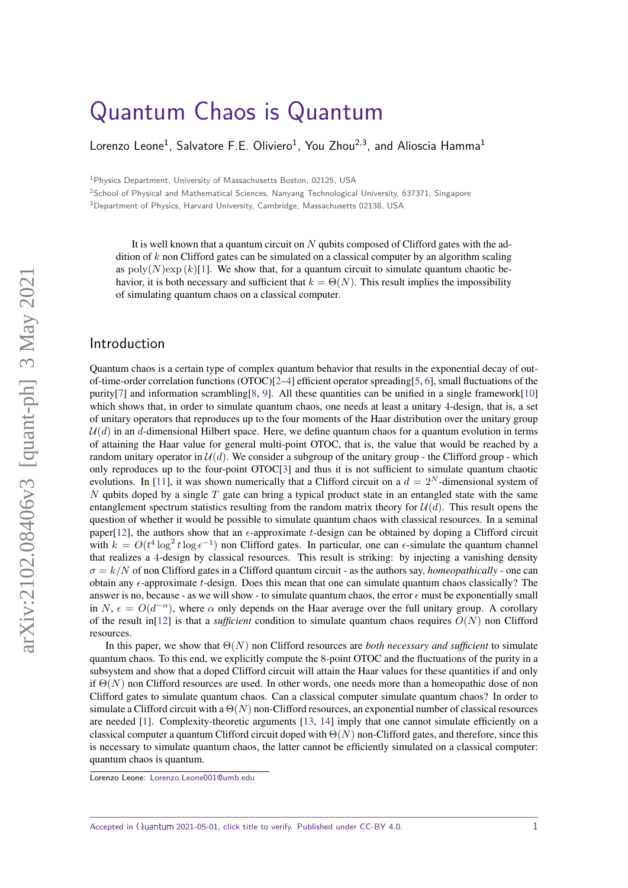# [Quantum Chaos is Quantum](https://quantum-journal.org/?s=Quantum%20Chaos%20is%20Quantum&reason=title-click)

Lorenzo Leone $^1$ , Salvatore F.E. Oliviero $^1$ , You Zhou $^{2,3}$ , and Alioscia Hamma $^1$ 

<sup>1</sup>Physics Department, University of Massachusetts Boston, 02125, USA

<sup>2</sup>School of Physical and Mathematical Sciences, Nanyang Technological University, 637371, Singapore

<sup>3</sup>Department of Physics, Harvard University, Cambridge, Massachusetts 02138, USA

It is well known that a quantum circuit on *N* qubits composed of Clifford gates with the addition of *k* non Clifford gates can be simulated on a classical computer by an algorithm scaling as  $poly(N)exp(k)[1]$  $poly(N)exp(k)[1]$ . We show that, for a quantum circuit to simulate quantum chaotic behavior, it is both necessary and sufficient that  $k = \Theta(N)$ . This result implies the impossibility of simulating quantum chaos on a classical computer.

# Introduction

Quantum chaos is a certain type of complex quantum behavior that results in the exponential decay of out-of-time-order correlation functions (OTOC)[\[2](#page-8-1)[–4\]](#page-8-2) efficient operator spreading[\[5,](#page-8-3) [6\]](#page-8-4), small fluctuations of the purity[\[7\]](#page-8-5) and information scrambling[\[8,](#page-8-6) [9\]](#page-8-7). All these quantities can be unified in a single framework[\[10\]](#page-8-8) which shows that, in order to simulate quantum chaos, one needs at least a unitary 4-design, that is, a set of unitary operators that reproduces up to the four moments of the Haar distribution over the unitary group  $U(d)$  in an *d*-dimensional Hilbert space. Here, we define quantum chaos for a quantum evolution in terms of attaining the Haar value for general multi-point OTOC, that is, the value that would be reached by a random unitary operator in  $\mathcal{U}(d)$ . We consider a subgroup of the unitary group - the Clifford group - which only reproduces up to the four-point OTOC[\[3\]](#page-8-9) and thus it is not sufficient to simulate quantum chaotic evolutions. In [\[11\]](#page-8-10), it was shown numerically that a Clifford circuit on a  $d = 2^N$ -dimensional system of *N* qubits doped by a single *T* gate can bring a typical product state in an entangled state with the same entanglement spectrum statistics resulting from the random matrix theory for  $\mathcal{U}(d)$ . This result opens the question of whether it would be possible to simulate quantum chaos with classical resources. In a seminal paper[\[12\]](#page-8-11), the authors show that an  $\epsilon$ -approximate *t*-design can be obtained by doping a Clifford circuit with  $k = O(t^4 \log^2 t \log \epsilon^{-1})$  non Clifford gates. In particular, one can  $\epsilon$ -simulate the quantum channel that realizes a 4-design by classical resources. This result is striking: by injecting a vanishing density  $\sigma = k/N$  of non Clifford gates in a Clifford quantum circuit - as the authors say, *homeopathically* - one can obtain any -approximate *t*-design. Does this mean that one can simulate quantum chaos classically? The answer is no, because - as we will show - to simulate quantum chaos, the error  $\epsilon$  must be exponentially small in *N*,  $\epsilon = O(d^{-\alpha})$ , where  $\alpha$  only depends on the Haar average over the full unitary group. A corollary of the result in<sup>[\[12\]](#page-8-11)</sup> is that a *sufficient* condition to simulate quantum chaos requires  $O(N)$  non Clifford resources.

In this paper, we show that  $\Theta(N)$  non Clifford resources are *both necessary and sufficient* to simulate quantum chaos. To this end, we explicitly compute the 8-point OTOC and the fluctuations of the purity in a subsystem and show that a doped Clifford circuit will attain the Haar values for these quantities if and only if  $\Theta(N)$  non Clifford resources are used. In other words, one needs more than a homeopathic dose of non Clifford gates to simulate quantum chaos. Can a classical computer simulate quantum chaos? In order to simulate a Clifford circuit with a Θ(*N*) non-Clifford resources, an exponential number of classical resources are needed [\[1\]](#page-8-0). Complexity-theoretic arguments [\[13,](#page-8-12) [14\]](#page-8-13) imply that one cannot simulate efficiently on a classical computer a quantum Clifford circuit doped with Θ(*N*) non-Clifford gates, and therefore, since this is necessary to simulate quantum chaos, the latter cannot be efficiently simulated on a classical computer: quantum chaos is quantum.

Lorenzo Leone: [Lorenzo.Leone001@umb.edu](mailto:Lorenzo.Leone001@umb.edu)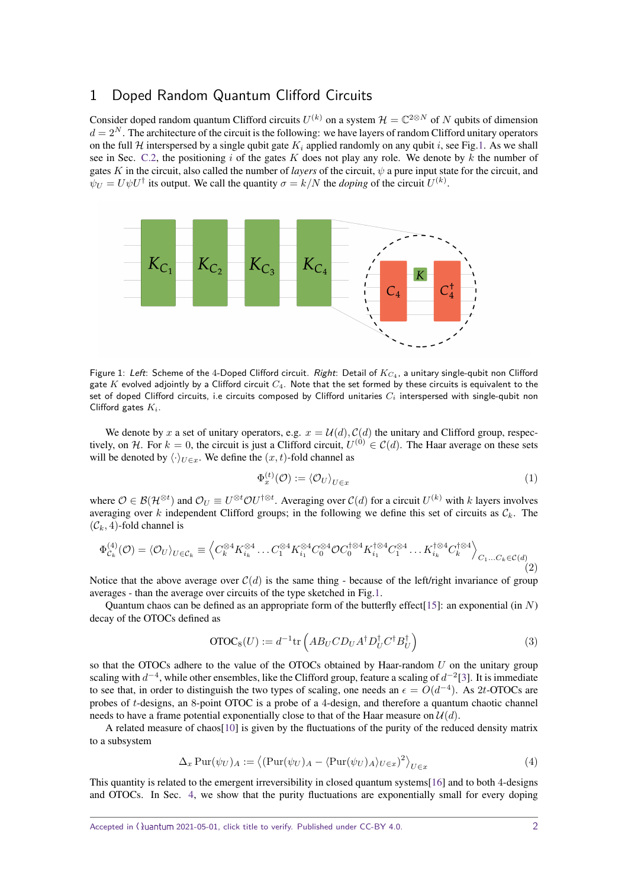# 1 Doped Random Quantum Clifford Circuits

Consider doped random quantum Clifford circuits  $U^{(k)}$  on a system  $\mathcal{H} = \mathbb{C}^{2 \otimes N}$  of *N* qubits of dimension  $d = 2<sup>N</sup>$ . The architecture of the circuit is the following: we have layers of random Clifford unitary operators on the full H interspersed by a single qubit gate  $K_i$  applied randomly on any qubit *i*, see Fig[.1.](#page-1-0) As we shall see in Sec. [C.2,](#page-18-0) the positioning *i* of the gates *K* does not play any role. We denote by *k* the number of gates *K* in the circuit, also called the number of *layers* of the circuit,  $\psi$  a pure input state for the circuit, and  $\psi_U = U \psi U^{\dagger}$  its output. We call the quantity  $\sigma = k/N$  the *doping* of the circuit  $U^{(k)}$ .

<span id="page-1-0"></span>

Figure 1: Left: Scheme of the 4-Doped Clifford circuit. Right: Detail of *K<sup>C</sup>*<sup>4</sup> , a unitary single-qubit non Clifford gate *K* evolved adjointly by a Clifford circuit *C*4. Note that the set formed by these circuits is equivalent to the set of doped Clifford circuits, i.e circuits composed by Clifford unitaries *C<sup>i</sup>* interspersed with single-qubit non Clifford gates *Ki*.

We denote by *x* a set of unitary operators, e.g.  $x = U(d)$ ,  $C(d)$  the unitary and Clifford group, respectively, on H. For  $k = 0$ , the circuit is just a Clifford circuit,  $U^{(0)} \in C(d)$ . The Haar average on these sets will be denoted by  $\langle \cdot \rangle_{U \in \mathcal{x}}$ . We define the  $(x, t)$ -fold channel as

$$
\Phi_x^{(t)}(\mathcal{O}) := \langle \mathcal{O}_U \rangle_{U \in x} \tag{1}
$$

where  $\mathcal{O} \in \mathcal{B}(\mathcal{H}^{\otimes t})$  and  $\mathcal{O}_U \equiv U^{\otimes t} \mathcal{O} U^{\dagger \otimes t}$ . Averaging over  $\mathcal{C}(d)$  for a circuit  $U^{(k)}$  with *k* layers involves averaging over *k* independent Clifford groups; in the following we define this set of circuits as  $\mathcal{C}_k$ . The  $(\mathcal{C}_k, 4)$ -fold channel is

$$
\Phi_{\mathcal{C}_k}^{(4)}(\mathcal{O}) = \langle \mathcal{O}_U \rangle_{U \in \mathcal{C}_k} \equiv \left\langle C_k^{\otimes 4} K_{i_k}^{\otimes 4} \dots C_1^{\otimes 4} K_{i_1}^{\otimes 4} C_0^{\otimes 4} \mathcal{O} C_0^{\dagger \otimes 4} K_{i_1}^{\dagger \otimes 4} C_1^{\otimes 4} \dots K_{i_k}^{\dagger \otimes 4} C_k^{\dagger \otimes 4} \right\rangle_{C_1 \dots C_k \in \mathcal{C}(d)} (2)
$$

Notice that the above average over  $C(d)$  is the same thing - because of the left/right invariance of group averages - than the average over circuits of the type sketched in Fig[.1.](#page-1-0)

Quantum chaos can be defined as an appropriate form of the butterfly effect[\[15\]](#page-8-14): an exponential (in *N*) decay of the OTOCs defined as

<span id="page-1-1"></span>
$$
\text{OTOC}_8(U) := d^{-1} \text{tr}\left( AB_U C D_U A^\dagger D_U^\dagger C^\dagger B_U^\dagger \right) \tag{3}
$$

so that the OTOCs adhere to the value of the OTOCs obtained by Haar-random *U* on the unitary group scaling with *d*<sup>-4</sup>, while other ensembles, like the Clifford group, feature a scaling of *d*<sup>-2</sup>[\[3\]](#page-8-9). It is immediate to see that, in order to distinguish the two types of scaling, one needs an  $\epsilon = O(d^{-4})$ . As 2*t*-OTOCs are probes of *t*-designs, an 8-point OTOC is a probe of a 4-design, and therefore a quantum chaotic channel needs to have a frame potential exponentially close to that of the Haar measure on  $\mathcal{U}(d)$ .

A related measure of chaos[\[10\]](#page-8-8) is given by the fluctuations of the purity of the reduced density matrix to a subsystem

<span id="page-1-2"></span>
$$
\Delta_x \operatorname{Pur}(\psi_U)_A := \left\langle (\operatorname{Pur}(\psi_U)_A - \langle \operatorname{Pur}(\psi_U)_A \rangle_{U \in x})^2 \right\rangle_{U \in x} \tag{4}
$$

This quantity is related to the emergent irreversibility in closed quantum systems[\[16\]](#page-8-15) and to both 4-designs and OTOCs. In Sec. [4,](#page-4-0) we show that the purity fluctuations are exponentially small for every doping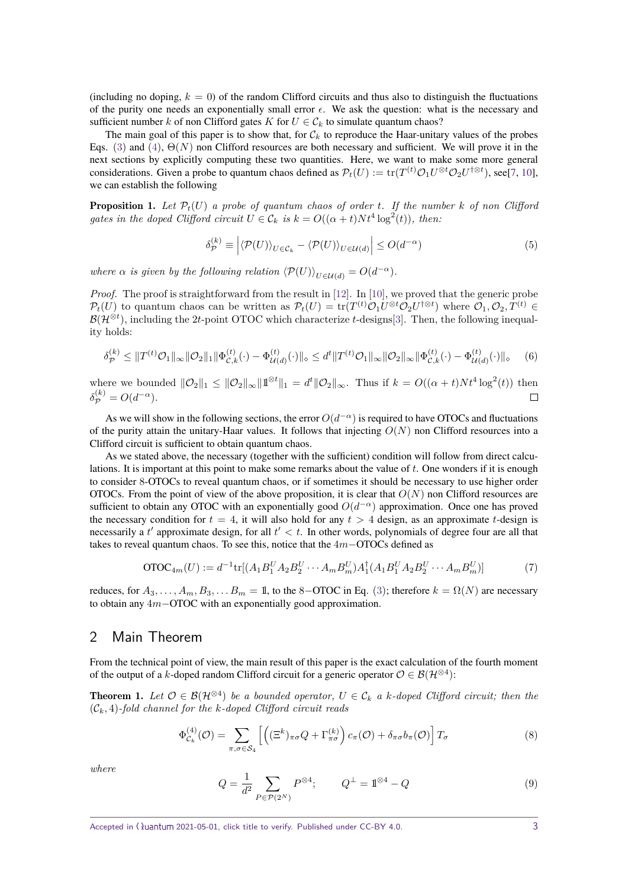(including no doping,  $k = 0$ ) of the random Clifford circuits and thus also to distinguish the fluctuations of the purity one needs an exponentially small error  $\epsilon$ . We ask the question: what is the necessary and sufficient number *k* of non Clifford gates *K* for  $U \in \mathcal{C}_k$  to simulate quantum chaos?

The main goal of this paper is to show that, for  $C_k$  to reproduce the Haar-unitary values of the probes Eqs. [\(3\)](#page-1-1) and [\(4\)](#page-1-2), Θ(*N*) non Clifford resources are both necessary and sufficient. We will prove it in the next sections by explicitly computing these two quantities. Here, we want to make some more general considerations. Given a probe to quantum chaos defined as  $\mathcal{P}_t(U) := \text{tr}(T^{(t)}\mathcal{O}_1U^{\otimes t}\mathcal{O}_2U^{\dagger\otimes t})$ , see[\[7,](#page-8-5) [10\]](#page-8-8), we can establish the following

**Proposition 1.** Let  $\mathcal{P}_t(U)$  a probe of quantum chaos of order *t*. If the number  $k$  of non Clifford *gates in the doped Clifford circuit*  $U \in \mathcal{C}_k$  *is*  $k = O((\alpha + t)Nt^4 \log^2(t))$ *, then:* 

$$
\delta_{\mathcal{P}}^{(k)} \equiv \left| \langle \mathcal{P}(U) \rangle_{U \in \mathcal{C}_k} - \langle \mathcal{P}(U) \rangle_{U \in \mathcal{U}(d)} \right| \le O(d^{-\alpha}) \tag{5}
$$

*where*  $\alpha$  *is given by the following relation*  $\langle \mathcal{P}(U) \rangle_{U \in \mathcal{U}(d)} = O(d^{-\alpha}).$ 

*Proof.* The proof is straightforward from the result in [\[12\]](#page-8-11). In [\[10\]](#page-8-8), we proved that the generic probe  $\mathcal{P}_t(U)$  to quantum chaos can be written as  $\mathcal{P}_t(U) = \text{tr}(T^{(t)}\mathcal{O}_1U^{\otimes t}\mathcal{O}_2U^{\dagger\otimes t})$  where  $\mathcal{O}_1, \mathcal{O}_2, T^{(t)} \in$  $\mathcal{B}(\mathcal{H}^{\otimes t})$ , including the 2*t*-point OTOC which characterize *t*-designs[\[3\]](#page-8-9). Then, the following inequality holds:

$$
\delta_{\mathcal{P}}^{(k)} \leq \|T^{(t)}\mathcal{O}_{1}\|_{\infty} \|\mathcal{O}_{2}\|_{1} \|\Phi_{\mathcal{C},k}^{(t)}(\cdot) - \Phi_{\mathcal{U}(d)}^{(t)}(\cdot)\|_{\infty} \leq d^{t} \|T^{(t)}\mathcal{O}_{1}\|_{\infty} \|\mathcal{O}_{2}\|_{\infty} \|\Phi_{\mathcal{C},k}^{(t)}(\cdot) - \Phi_{\mathcal{U}(d)}^{(t)}(\cdot)\|_{\infty} \tag{6}
$$

where we bounded  $\|\mathcal{O}_2\|_1 \leq \|\mathcal{O}_2\|_{\infty} \|\mathbb{1}^{\otimes t}\|_1 = d^t \|\mathcal{O}_2\|_{\infty}$ . Thus if  $k = O((\alpha + t)Nt^4 \log^2(t))$  then  $\delta_{\mathcal{P}}^{(k)} = O(d^{-\alpha}).$  $\Box$ 

As we will show in the following sections, the error  $O(d^{-\alpha})$  is required to have OTOCs and fluctuations of the purity attain the unitary-Haar values. It follows that injecting *O*(*N*) non Clifford resources into a Clifford circuit is sufficient to obtain quantum chaos.

As we stated above, the necessary (together with the sufficient) condition will follow from direct calculations. It is important at this point to make some remarks about the value of *t*. One wonders if it is enough to consider 8-OTOCs to reveal quantum chaos, or if sometimes it should be necessary to use higher order OTOCs. From the point of view of the above proposition, it is clear that  $O(N)$  non Clifford resources are sufficient to obtain any OTOC with an exponentially good  $O(d^{-\alpha})$  approximation. Once one has proved the necessary condition for  $t = 4$ , it will also hold for any  $t > 4$  design, as an approximate *t*-design is necessarily a  $t'$  approximate design, for all  $t' < t$ . In other words, polynomials of degree four are all that takes to reveal quantum chaos. To see this, notice that the 4*m*−OTOCs defined as

$$
OTOC_{4m}(U) := d^{-1} \text{tr}[(A_1 B_1^U A_2 B_2^U \cdots A_m B_m^U) A_1^\dagger (A_1 B_1^U A_2 B_2^U \cdots A_m B_m^U)] \tag{7}
$$

reduces, for  $A_3, \ldots, A_m, B_3, \ldots, B_m = 1$ , to the 8−OTOC in Eq. [\(3\)](#page-1-1); therefore  $k = \Omega(N)$  are necessary to obtain any 4*m*−OTOC with an exponentially good approximation.

## 2 Main Theorem

From the technical point of view, the main result of this paper is the exact calculation of the fourth moment of the output of a *k*-doped random Clifford circuit for a generic operator  $\mathcal{O} \in \mathcal{B}(\mathcal{H}^{\otimes 4})$ :

<span id="page-2-0"></span>**Theorem 1.** Let  $\mathcal{O} \in \mathcal{B}(\mathcal{H}^{\otimes 4})$  be a bounded operator,  $U \in \mathcal{C}_k$  a k-doped Clifford circuit; then the (C*k,* 4)*-fold channel for the k-doped Clifford circuit reads*

$$
\Phi_{\mathcal{C}_k}^{(4)}(\mathcal{O}) = \sum_{\pi,\sigma \in \mathcal{S}_4} \left[ \left( (\Xi^k)_{\pi\sigma} Q + \Gamma_{\pi\sigma}^{(k)} \right) c_{\pi}(\mathcal{O}) + \delta_{\pi\sigma} b_{\pi}(\mathcal{O}) \right] T_{\sigma} \tag{8}
$$

*where*

$$
Q = \frac{1}{d^2} \sum_{P \in \mathcal{P}(2^N)} P^{\otimes 4}; \qquad Q^{\perp} = \mathbb{1}^{\otimes 4} - Q \tag{9}
$$

Accepted in  $\langle \lambda \rangle$ uantum 2021-05-01, click title to verify. Published under CC-BY 4.0.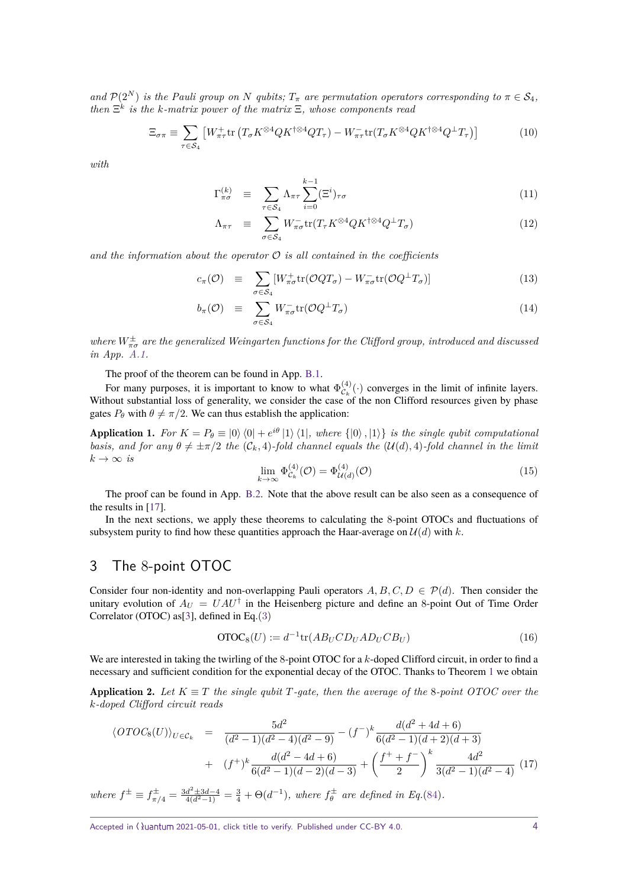*and*  $\mathcal{P}(2^N)$  *is the Pauli group on N qubits;*  $T_{\pi}$  *are permutation operators corresponding to*  $\pi \in \mathcal{S}_4$ *, then* Ξ *k is the k-matrix power of the matrix* Ξ*, whose components read*

<span id="page-3-3"></span>
$$
\Xi_{\sigma\pi} \equiv \sum_{\tau \in S_4} \left[ W_{\pi\tau}^+ \text{tr} \left( T_{\sigma} K^{\otimes 4} Q K^{\dagger \otimes 4} Q T_{\tau} \right) - W_{\pi\tau}^- \text{tr} (T_{\sigma} K^{\otimes 4} Q K^{\dagger \otimes 4} Q^{\dagger} T_{\tau} \right) \right]
$$
(10)

*with*

$$
\Gamma_{\pi\sigma}^{(k)} \equiv \sum_{\tau \in \mathcal{S}_4} \Lambda_{\pi\tau} \sum_{i=0}^{k-1} (\Xi^i)_{\tau\sigma} \tag{11}
$$

$$
\Lambda_{\pi\tau} \equiv \sum_{\sigma \in \mathcal{S}_4} W_{\pi\sigma}^{\dagger} \text{tr}(T_{\tau} K^{\otimes 4} Q K^{\dagger \otimes 4} Q^{\dagger} T_{\sigma}) \tag{12}
$$

and the information about the operator  $\mathcal O$  is all contained in the coefficients

<span id="page-3-4"></span>
$$
c_{\pi}(\mathcal{O}) \equiv \sum_{\sigma \in \mathcal{S}_4} [W_{\pi\sigma}^+ \text{tr}(\mathcal{O}QT_{\sigma}) - W_{\pi\sigma}^- \text{tr}(\mathcal{O}Q^\perp T_{\sigma})] \tag{13}
$$

$$
b_{\pi}(\mathcal{O}) \equiv \sum_{\sigma \in \mathcal{S}_4} W_{\pi\sigma}^{-} \text{tr}(\mathcal{O}Q^{\perp}T_{\sigma}) \tag{14}
$$

*where*  $W^{\pm}_{\pi\sigma}$  are the generalized Weingarten functions for the Clifford group, introduced and discussed *in App. [A.1.](#page-9-0)*

The proof of the theorem can be found in App. [B.1.](#page-11-0)

For many purposes, it is important to know to what  $\Phi_{\mathcal{C}_k}^{(4)}$  $\mathcal{C}_k^{(4)}(\cdot)$  converges in the limit of infinite layers. Without substantial loss of generality, we consider the case of the non Clifford resources given by phase gates  $P_\theta$  with  $\theta \neq \pi/2$ . We can thus establish the application:

<span id="page-3-1"></span>Application 1. For  $K = P_{\theta} \equiv |0\rangle \langle 0| + e^{i\theta} |1\rangle \langle 1|$ , where  $\{|0\rangle, |1\rangle\}$  is the single qubit computational *basis, and for any*  $\theta \neq \pm \pi/2$  *the*  $(C_k, 4)$ *-fold channel equals the*  $(\mathcal{U}(d), 4)$ *-fold channel in the limit*  $k \to \infty$  *is* 

$$
\lim_{k \to \infty} \Phi_{\mathcal{C}_k}^{(4)}(\mathcal{O}) = \Phi_{\mathcal{U}(d)}^{(4)}(\mathcal{O}) \tag{15}
$$

The proof can be found in App. [B.2.](#page-12-0) Note that the above result can be also seen as a consequence of the results in [\[17\]](#page-8-16).

In the next sections, we apply these theorems to calculating the 8-point OTOCs and fluctuations of subsystem purity to find how these quantities approach the Haar-average on  $\mathcal{U}(d)$  with k.

# 3 The 8-point OTOC

Consider four non-identity and non-overlapping Pauli operators  $A, B, C, D \in \mathcal{P}(d)$ . Then consider the unitary evolution of  $A_U = U A U^{\dagger}$  in the Heisenberg picture and define an 8-point Out of Time Order Correlator (OTOC) as[\[3\]](#page-8-9), defined in Eq.[\(3\)](#page-1-1)

<span id="page-3-0"></span>
$$
OTOC8(U) := d-1 tr(ABU CDU ADU CBU)
$$
\n(16)

We are interested in taking the twirling of the 8-point OTOC for a *k*-doped Clifford circuit, in order to find a necessary and sufficient condition for the exponential decay of the OTOC. Thanks to Theorem [1](#page-2-0) we obtain

**Application 2.** Let  $K \equiv T$  the single qubit  $T$ -gate, then the average of the 8-point OTOC over the *k-doped Clifford circuit reads*

<span id="page-3-2"></span>
$$
\langle OTOC_8(U) \rangle_{U \in \mathcal{C}_k} = \frac{5d^2}{(d^2 - 1)(d^2 - 4)(d^2 - 9)} - (f^{-})^k \frac{d(d^2 + 4d + 6)}{6(d^2 - 1)(d + 2)(d + 3)} + (f^{+})^k \frac{d(d^2 - 4d + 6)}{6(d^2 - 1)(d - 2)(d - 3)} + \left(\frac{f^{+} + f^{-}}{2}\right)^k \frac{4d^2}{3(d^2 - 1)(d^2 - 4)} \tag{17}
$$

*where*  $f^{\pm} \equiv f_{\pi/4}^{\pm} = \frac{3d^2 \pm 3d - 4}{4(d^2 - 1)} = \frac{3}{4} + \Theta(d^{-1}),$  *where*  $f_{\theta}^{\pm}$  *are defined in Eq.*[\(84\)](#page-12-1)*.*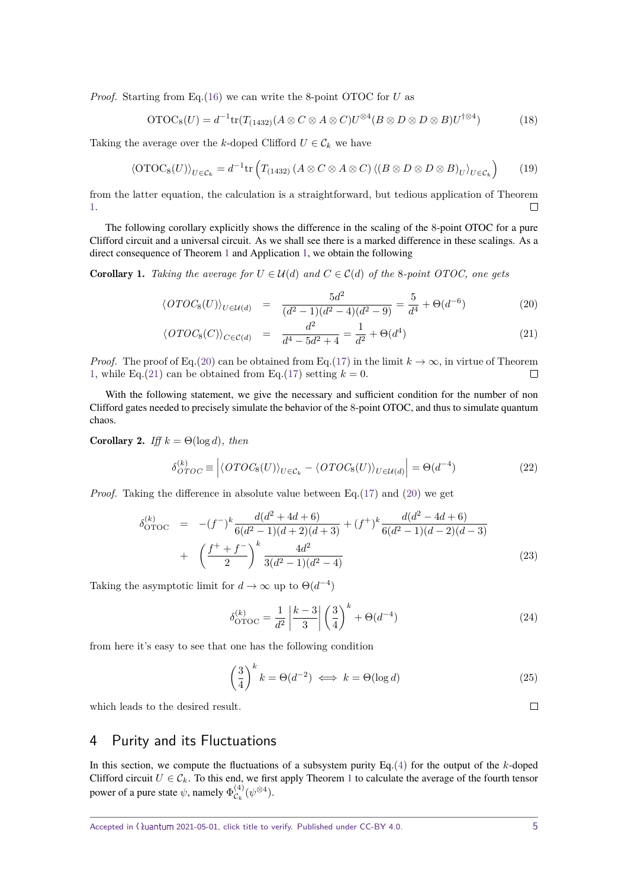*Proof.* Starting from Eq.[\(16\)](#page-3-0) we can write the 8-point OTOC for *U* as

$$
OTOC_8(U) = d^{-1} \text{tr}(T_{(1432)}(A \otimes C \otimes A \otimes C)U^{\otimes 4}(B \otimes D \otimes D \otimes B)U^{\dagger \otimes 4})
$$
(18)

Taking the average over the *k*-doped Clifford  $U \in \mathcal{C}_k$  we have

$$
\langle \text{OTOC}_8(U) \rangle_{U \in \mathcal{C}_k} = d^{-1} \text{tr} \left( T_{(1432)} \left( A \otimes C \otimes A \otimes C \right) \langle (B \otimes D \otimes D \otimes B)_U \rangle_{U \in \mathcal{C}_k} \right) \tag{19}
$$

from the latter equation, the calculation is a straightforward, but tedious application of Theorem [1.](#page-2-0)  $\Box$ 

The following corollary explicitly shows the difference in the scaling of the 8-point OTOC for a pure Clifford circuit and a universal circuit. As we shall see there is a marked difference in these scalings. As a direct consequence of Theorem [1](#page-2-0) and Application [1,](#page-3-1) we obtain the following

**Corollary 1.** Taking the average for  $U \in \mathcal{U}(d)$  and  $C \in \mathcal{C}(d)$  of the 8*-point OTOC, one gets* 

<span id="page-4-1"></span>
$$
\langle OTOC_8(U) \rangle_{U \in \mathcal{U}(d)} = \frac{5d^2}{(d^2 - 1)(d^2 - 4)(d^2 - 9)} = \frac{5}{d^4} + \Theta(d^{-6}) \tag{20}
$$

$$
\langle OTOC_8(C) \rangle_{C \in \mathcal{C}(d)} = \frac{d^2}{d^4 - 5d^2 + 4} = \frac{1}{d^2} + \Theta(d^4) \tag{21}
$$

*Proof.* The proof of Eq.[\(20\)](#page-4-1) can be obtained from Eq.[\(17\)](#page-3-2) in the limit  $k \to \infty$ , in virtue of Theorem [1,](#page-3-1) while Eq.[\(21\)](#page-4-1) can be obtained from Eq.[\(17\)](#page-3-2) setting  $k = 0$ .  $\Box$ 

With the following statement, we give the necessary and sufficient condition for the number of non Clifford gates needed to precisely simulate the behavior of the 8-point OTOC, and thus to simulate quantum chaos.

**Corollary 2.** *Iff*  $k = \Theta(\log d)$ *, then* 

$$
\delta_{OTOC}^{(k)} \equiv \left| \langle OTOC_8(U) \rangle_{U \in \mathcal{C}_k} - \langle OTOC_8(U) \rangle_{U \in \mathcal{U}(d)} \right| = \Theta(d^{-4}) \tag{22}
$$

*Proof.* Taking the difference in absolute value between Eq. [\(17\)](#page-3-2) and [\(20\)](#page-4-1) we get

$$
\delta_{\text{OTOC}}^{(k)} = -(f^{-})^k \frac{d(d^2 + 4d + 6)}{6(d^2 - 1)(d + 2)(d + 3)} + (f^{+})^k \frac{d(d^2 - 4d + 6)}{6(d^2 - 1)(d - 2)(d - 3)} + \left(\frac{f^{+} + f^{-}}{2}\right)^k \frac{4d^2}{3(d^2 - 1)(d^2 - 4)}
$$
\n(23)

Taking the asymptotic limit for  $d \to \infty$  up to  $\Theta(d^{-4})$ 

$$
\delta_{\text{OTOC}}^{(k)} = \frac{1}{d^2} \left| \frac{k-3}{3} \right| \left( \frac{3}{4} \right)^k + \Theta(d^{-4}) \tag{24}
$$

from here it's easy to see that one has the following condition

$$
\left(\frac{3}{4}\right)^k k = \Theta(d^{-2}) \iff k = \Theta(\log d)
$$
 (25)

which leads to the desired result.

# <span id="page-4-0"></span>4 Purity and its Fluctuations

In this section, we compute the fluctuations of a subsystem purity Eq.[\(4\)](#page-1-2) for the output of the *k*-doped Clifford circuit  $U \in \mathcal{C}_k$ . To this end, we first apply Theorem [1](#page-2-0) to calculate the average of the fourth tensor power of a pure state  $\psi$ , namely  $\Phi_{\mathcal{C}_k}^{(4)}$  $\overset{(4)}{\mathcal{C}_k}(\psi^{\otimes 4}).$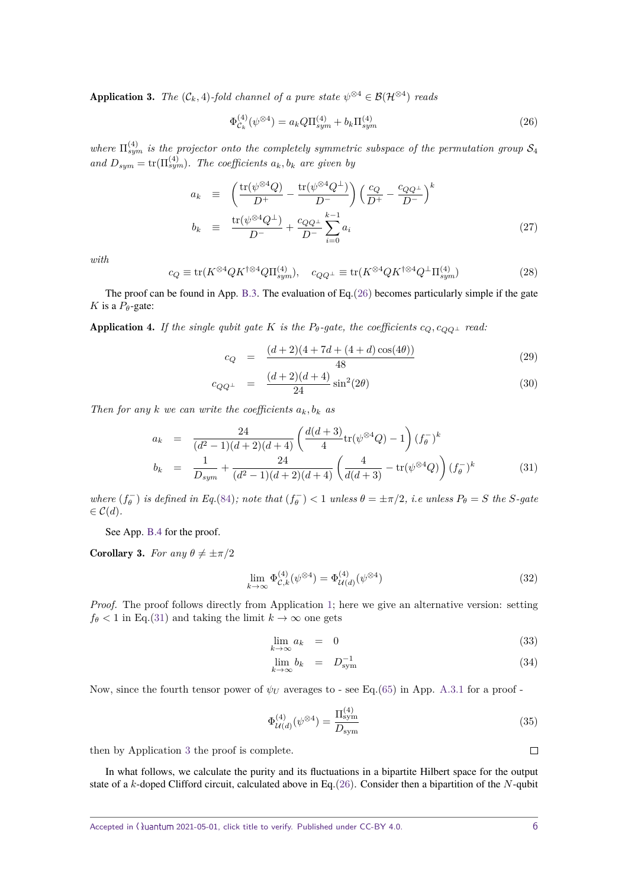<span id="page-5-2"></span>**Application 3.** *The*  $(C_k, 4)$ -fold channel of a pure state  $\psi^{\otimes 4} \in \mathcal{B}(\mathcal{H}^{\otimes 4})$  reads

<span id="page-5-0"></span>
$$
\Phi_{\mathcal{C}_k}^{(4)}(\psi^{\otimes 4}) = a_k Q \Pi_{sym}^{(4)} + b_k \Pi_{sym}^{(4)}
$$
\n(26)

where  $\Pi_{sym}^{(4)}$  is the projector onto the completely symmetric subspace of the permutation group  $\mathcal{S}_4$  $and D_{sym} = \text{tr}(\Pi_{sym}^{(4)})$ . The coefficients  $a_k, b_k$  are given by

<span id="page-5-4"></span>
$$
a_k \equiv \left(\frac{\text{tr}(\psi^{\otimes 4}Q)}{D^+} - \frac{\text{tr}(\psi^{\otimes 4}Q^\perp)}{D^-}\right) \left(\frac{c_Q}{D^+} - \frac{c_{QQ^\perp}}{D^-}\right)^k
$$
  

$$
b_k \equiv \frac{\text{tr}(\psi^{\otimes 4}Q^\perp)}{D^-} + \frac{c_{QQ^\perp}}{D^-} \sum_{i=0}^{k-1} a_i
$$
 (27)

*with*

$$
c_Q \equiv \text{tr}(K^{\otimes 4} Q K^{\dagger \otimes 4} Q \Pi_{sym}^{(4)}), \quad c_{QQ^{\perp}} \equiv \text{tr}(K^{\otimes 4} Q K^{\dagger \otimes 4} Q^{\perp} \Pi_{sym}^{(4)}) \tag{28}
$$

The proof can be found in App. [B.3.](#page-13-0) The evaluation of Eq. $(26)$  becomes particularly simple if the gate *K* is a  $P_{\theta}$ -gate:

<span id="page-5-5"></span>**Application 4.** *If the single qubit gate K is the*  $P_{\theta}$ *-gate, the coefficients*  $c_Q$ ,  $c_{OO}$  *read:* 

$$
c_Q = \frac{(d+2)(4+7d+(4+d)\cos(4\theta))}{48} \tag{29}
$$

$$
c_{QQ^{\perp}} = \frac{(d+2)(d+4)}{24}\sin^2(2\theta) \tag{30}
$$

*Then for any k we can write the coefficients*  $a_k, b_k$  *as* 

<span id="page-5-1"></span>
$$
a_k = \frac{24}{(d^2 - 1)(d + 2)(d + 4)} \left( \frac{d(d + 3)}{4} \text{tr}(\psi^{\otimes 4} Q) - 1 \right) (f_\theta^-)^k
$$
  
\n
$$
b_k = \frac{1}{D_{sym}} + \frac{24}{(d^2 - 1)(d + 2)(d + 4)} \left( \frac{4}{d(d + 3)} - \text{tr}(\psi^{\otimes 4} Q) \right) (f_\theta^-)^k
$$
(31)

where  $(f_{\theta}^-)$  is defined in Eq.[\(84\)](#page-12-1); note that  $(f_{\theta}^-)$  < 1 unless  $\theta = \pm \pi/2$ , i.e unless  $P_{\theta} = S$  the S-gate  $\in \mathcal{C}(d)$ .

See App. [B.4](#page-14-0) for the proof.

<span id="page-5-3"></span>**Corollary 3.** *For any*  $\theta \neq \pm \pi/2$ 

$$
\lim_{k \to \infty} \Phi_{\mathcal{C},k}^{(4)}(\psi^{\otimes 4}) = \Phi_{\mathcal{U}(d)}^{(4)}(\psi^{\otimes 4})
$$
\n(32)

*Proof.* The proof follows directly from Application [1;](#page-3-1) here we give an alternative version: setting  $f_{\theta}$  < 1 in Eq.[\(31\)](#page-5-1) and taking the limit  $k \to \infty$  one gets

$$
\lim_{k \to \infty} a_k = 0 \tag{33}
$$

$$
\lim_{k \to \infty} b_k = D_{\text{sym}}^{-1} \tag{34}
$$

Now, since the fourth tensor power of  $\psi_U$  averages to - see Eq.[\(65\)](#page-11-1) in App. [A.3.1](#page-10-0) for a proof -

$$
\Phi_{\mathcal{U}(d)}^{(4)}(\psi^{\otimes 4}) = \frac{\Pi_{\text{sym}}^{(4)}}{D_{\text{sym}}} \tag{35}
$$

then by Application [3](#page-5-2) the proof is complete.

In what follows, we calculate the purity and its fluctuations in a bipartite Hilbert space for the output state of a *k*-doped Clifford circuit, calculated above in Eq.[\(26\)](#page-5-0). Consider then a bipartition of the *N*-qubit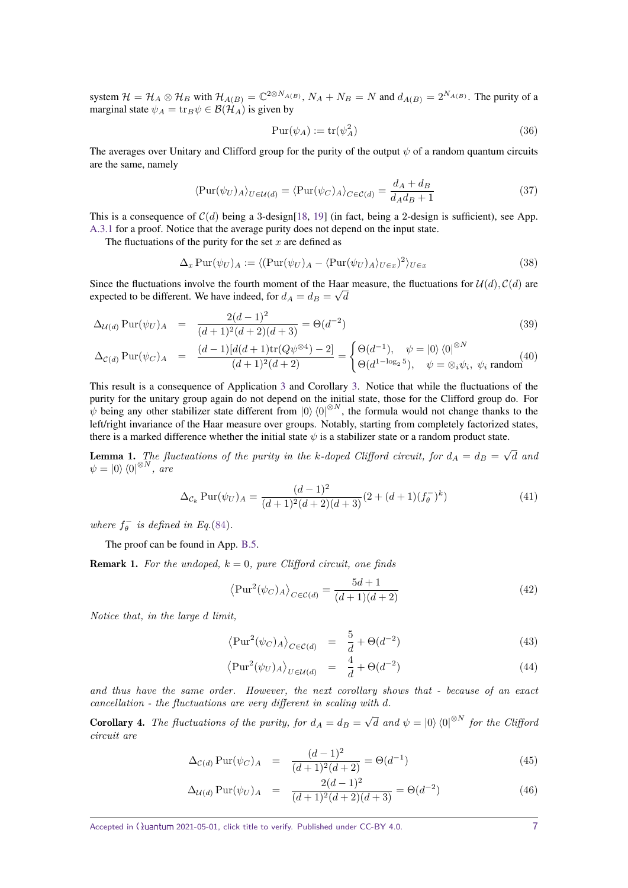system  $\mathcal{H} = \mathcal{H}_A \otimes \mathcal{H}_B$  with  $\mathcal{H}_{A(B)} = \mathbb{C}^{2 \otimes N_{A(B)}}$ ,  $N_A + N_B = N$  and  $d_{A(B)} = 2^{N_{A(B)}}$ . The purity of a marginal state  $\psi_A = \text{tr}_B \psi \in \mathcal{B}(\mathcal{H}_A)$  is given by

$$
\text{Pur}(\psi_A) := \text{tr}(\psi_A^2) \tag{36}
$$

The averages over Unitary and Clifford group for the purity of the output *ψ* of a random quantum circuits are the same, namely

$$
\langle \text{Pur}(\psi_U)_A \rangle_{U \in \mathcal{U}(d)} = \langle \text{Pur}(\psi_C)_A \rangle_{C \in \mathcal{C}(d)} = \frac{d_A + d_B}{d_A d_B + 1} \tag{37}
$$

This is a consequence of  $C(d)$  being a 3-design[\[18,](#page-8-17) [19\]](#page-8-18) (in fact, being a 2-design is sufficient), see App. [A.3.1](#page-10-0) for a proof. Notice that the average purity does not depend on the input state.

The fluctuations of the purity for the set *x* are defined as

$$
\Delta_x \operatorname{Pur}(\psi_U)_A := \langle (\operatorname{Pur}(\psi_U)_A - \langle \operatorname{Pur}(\psi_U)_A \rangle_{U \in x})^2 \rangle_{U \in x}
$$
\n(38)

Since the fluctuations involve the fourth moment of the Haar measure, the fluctuations for  $\mathcal{U}(d)$ ,  $\mathcal{C}(d)$  are expected to be different. We have indeed, for  $d_A = d_B = \sqrt{d}$ 

$$
\Delta_{\mathcal{U}(d)} \operatorname{Pur}(\psi_U)_A = \frac{2(d-1)^2}{(d+1)^2(d+2)(d+3)} = \Theta(d^{-2})
$$
\n(39)

$$
\Delta_{\mathcal{C}(d)} \operatorname{Pur}(\psi_C)_A = \frac{(d-1)[d(d+1)\operatorname{tr}(Q\psi^{\otimes 4}) - 2]}{(d+1)^2(d+2)} = \begin{cases} \Theta(d^{-1}), & \psi = |0\rangle \langle 0|^{\otimes N} \\ \Theta(d^{1-\log_2 5}), & \psi = \otimes_i \psi_i, \ \psi_i \text{ random} \end{cases}
$$
(40)

This result is a consequence of Application [3](#page-5-2) and Corollary [3.](#page-5-3) Notice that while the fluctuations of the purity for the unitary group again do not depend on the initial state, those for the Clifford group do. For  $\psi$  being any other stabilizer state different from  $|0\rangle\langle 0|^{\otimes N}$ , the formula would not change thanks to the left/right invariance of the Haar measure over groups. Notably, starting from completely factorized states, there is a marked difference whether the initial state  $\psi$  is a stabilizer state or a random product state.

<span id="page-6-1"></span>**Lemma 1.** The fluctuations of the purity in the *k*-doped Clifford circuit, for  $d_A = d_B =$ √ *d and*  $\psi = \ket{0}\bra{0}^{\otimes N}, \text{ are}$ 

<span id="page-6-2"></span>
$$
\Delta_{\mathcal{C}_k} \operatorname{Pur}(\psi_U)_A = \frac{(d-1)^2}{(d+1)^2(d+2)(d+3)} (2 + (d+1)(f_\theta^-)^k)
$$
(41)

*where*  $f_{\theta}^-$  *is defined in Eq.*[\(84\)](#page-12-1)*.* 

The proof can be found in App. [B.5.](#page-16-0)

**Remark 1.** For the undoped,  $k = 0$ , pure Clifford circuit, one finds

$$
\left\langle \mathrm{Pur}^2(\psi_C)_{A} \right\rangle_{C \in \mathcal{C}(d)} = \frac{5d+1}{(d+1)(d+2)}\tag{42}
$$

*Notice that, in the large d limit,*

$$
\langle \mathrm{Pur}^2(\psi_C)_A \rangle_{C \in \mathcal{C}(d)} = \frac{5}{d} + \Theta(d^{-2}) \tag{43}
$$

$$
\left\langle \mathrm{Pur}^2(\psi_U)_A \right\rangle_{U \in \mathcal{U}(d)} = \frac{4}{d} + \Theta(d^{-2}) \tag{44}
$$

*and thus have the same order. However, the next corollary shows that - because of an exact cancellation - the fluctuations are very different in scaling with d.*

**Corollary 4.** *The fluctuations of the purity, for*  $d_A = d_B =$ √  $\overline{d}$  *and*  $\psi = \ket{0} \bra{0}^{\otimes N}$  *for the Clifford circuit are*

<span id="page-6-0"></span>
$$
\Delta_{\mathcal{C}(d)} \operatorname{Pur}(\psi_C)_A = \frac{(d-1)^2}{(d+1)^2(d+2)} = \Theta(d^{-1})
$$
\n(45)

$$
\Delta_{\mathcal{U}(d)} \operatorname{Pur}(\psi_U)_A = \frac{2(d-1)^2}{(d+1)^2(d+2)(d+3)} = \Theta(d^{-2})
$$
\n(46)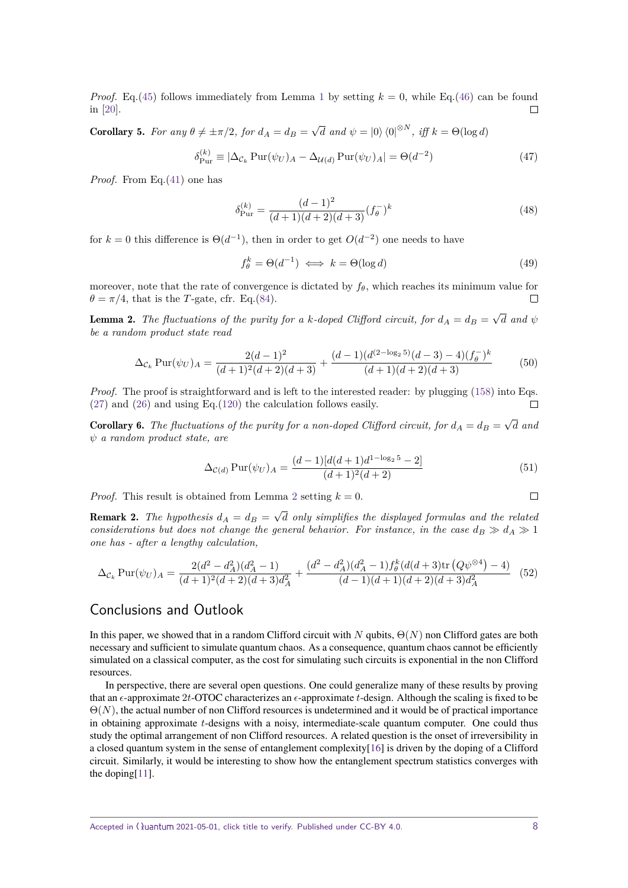*Proof.* Eq.[\(45\)](#page-6-0) follows immediately from Lemma [1](#page-6-1) by setting  $k = 0$ , while Eq.[\(46\)](#page-6-0) can be found in [\[20\]](#page-8-19).

**Corollary 5.** *For any*  $\theta \neq \pm \pi/2$ *, for*  $d_A = d_B =$ √  $\overline{d}$  *and*  $\psi = |0\rangle \langle 0|^{\otimes N}, \text{ iff } k = \Theta(\log d)$ 

$$
\delta_{\text{Pur}}^{(k)} \equiv |\Delta_{\mathcal{C}_k} \text{ Pur}(\psi_U)_A - \Delta_{\mathcal{U}(d)} \text{ Pur}(\psi_U)_A| = \Theta(d^{-2}) \tag{47}
$$

*Proof.* From Eq.[\(41\)](#page-6-2) one has

$$
\delta_{\text{Pur}}^{(k)} = \frac{(d-1)^2}{(d+1)(d+2)(d+3)} (f_\theta^-)^k
$$
\n(48)

for  $k = 0$  this difference is  $\Theta(d^{-1})$ , then in order to get  $O(d^{-2})$  one needs to have

$$
f_{\theta}^{k} = \Theta(d^{-1}) \iff k = \Theta(\log d)
$$
 (49)

moreover, note that the rate of convergence is dictated by  $f_\theta$ , which reaches its minimum value for  $\theta = \pi/4$ , that is the *T*-gate, cfr. Eq.[\(84\)](#page-12-1).

<span id="page-7-0"></span>**Lemma 2.** *The fluctuations of the purity for a k-doped Clifford circuit, for*  $d_A = d_B =$ √ *d and ψ be a random product state read*

$$
\Delta_{\mathcal{C}_k} \operatorname{Pur}(\psi_U)_A = \frac{2(d-1)^2}{(d+1)^2(d+2)(d+3)} + \frac{(d-1)(d^{(2-\log_2 5)}(d-3) - 4)(f_\theta^-)^k}{(d+1)(d+2)(d+3)}\tag{50}
$$

*Proof.* The proof is straightforward and is left to the interested reader: by plugging [\(158\)](#page-19-0) into Eqs. [\(27\)](#page-5-4) and [\(26\)](#page-5-0) and using Eq.[\(120\)](#page-16-1) the calculation follows easily.  $\Box$ 

**Corollary 6.** The fluctuations of the purity for a non-doped Clifford circuit, for  $d_A = d_B =$ √ *d and ψ a random product state, are*

$$
\Delta_{\mathcal{C}(d)} \operatorname{Pur}(\psi_U)_A = \frac{(d-1)[d(d+1)d^{1-\log_2 5} - 2]}{(d+1)^2(d+2)}\tag{51}
$$

*Proof.* This result is obtained from Lemma [2](#page-7-0) setting  $k = 0$ .

**Remark 2.** *The hypothesis*  $d_A = d_B =$ √ *d only simplifies the displayed formulas and the related considerations but does not change the general behavior. For instance, in the case*  $d_B \gg d_A \gg 1$ *one has - after a lengthy calculation,*

$$
\Delta_{\mathcal{C}_k} \operatorname{Pur}(\psi_U)_A = \frac{2(d^2 - d_A^2)(d_A^2 - 1)}{(d+1)^2(d+2)(d+3)d_A^2} + \frac{(d^2 - d_A^2)(d_A^2 - 1)f_\theta^k(d(d+3)\operatorname{tr}\left(Q\psi^{\otimes 4}\right) - 4)}{(d-1)(d+1)(d+2)(d+3)d_A^2} \tag{52}
$$

# Conclusions and Outlook

In this paper, we showed that in a random Clifford circuit with *N* qubits, Θ(*N*) non Clifford gates are both necessary and sufficient to simulate quantum chaos. As a consequence, quantum chaos cannot be efficiently simulated on a classical computer, as the cost for simulating such circuits is exponential in the non Clifford resources.

In perspective, there are several open questions. One could generalize many of these results by proving that an  $\epsilon$ -approximate 2*t*-OTOC characterizes an  $\epsilon$ -approximate *t*-design. Although the scaling is fixed to be  $\Theta(N)$ , the actual number of non Clifford resources is undetermined and it would be of practical importance in obtaining approximate *t*-designs with a noisy, intermediate-scale quantum computer. One could thus study the optimal arrangement of non Clifford resources. A related question is the onset of irreversibility in a closed quantum system in the sense of entanglement complexity[\[16\]](#page-8-15) is driven by the doping of a Clifford circuit. Similarly, it would be interesting to show how the entanglement spectrum statistics converges with the doping[\[11\]](#page-8-10).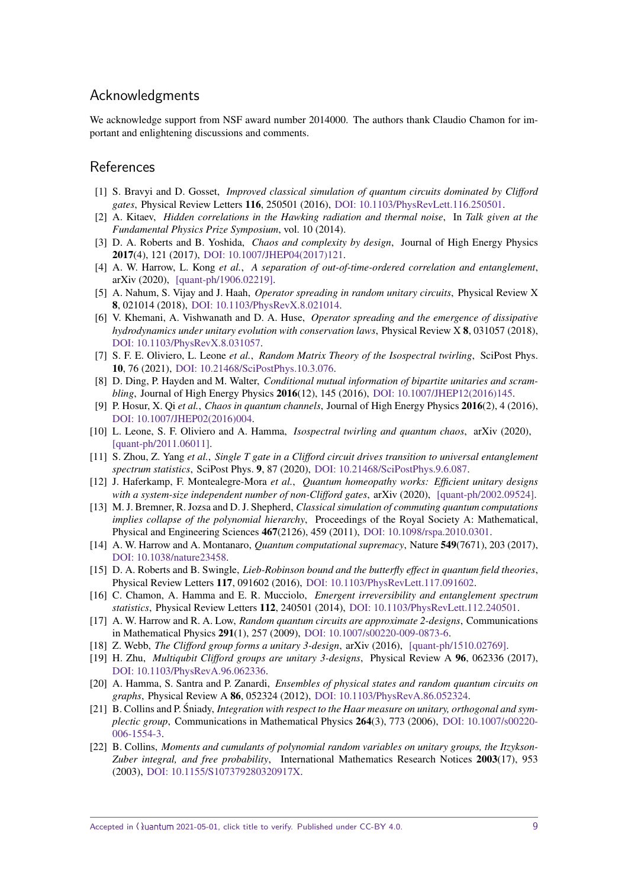# Acknowledgments

We acknowledge support from NSF award number 2014000. The authors thank Claudio Chamon for important and enlightening discussions and comments.

# **References**

- <span id="page-8-0"></span>[1] S. Bravyi and D. Gosset, *Improved classical simulation of quantum circuits dominated by Clifford gates*, Physical Review Letters 116, 250501 (2016), [DOI: 10.1103/PhysRevLett.116.250501.](https://doi.org/10.1103/PhysRevLett.116.250501)
- <span id="page-8-1"></span>[2] A. Kitaev, *Hidden correlations in the Hawking radiation and thermal noise*, In *Talk given at the Fundamental Physics Prize Symposium*, vol. 10 (2014).
- <span id="page-8-9"></span>[3] D. A. Roberts and B. Yoshida, *Chaos and complexity by design*, Journal of High Energy Physics 2017(4), 121 (2017), [DOI: 10.1007/JHEP04\(2017\)121.](https://doi.org/10.1007/JHEP04(2017)121)
- <span id="page-8-2"></span>[4] A. W. Harrow, L. Kong *et al.*, *A separation of out-of-time-ordered correlation and entanglement*, arXiv (2020), [\[quant-ph/1906.02219\].](http://arxiv.org/abs/1906.02219)
- <span id="page-8-3"></span>[5] A. Nahum, S. Vijay and J. Haah, *Operator spreading in random unitary circuits*, Physical Review X 8, 021014 (2018), [DOI: 10.1103/PhysRevX.8.021014.](https://doi.org/10.1103/PhysRevX.8.021014)
- <span id="page-8-4"></span>[6] V. Khemani, A. Vishwanath and D. A. Huse, *Operator spreading and the emergence of dissipative hydrodynamics under unitary evolution with conservation laws*, Physical Review X 8, 031057 (2018), [DOI: 10.1103/PhysRevX.8.031057.](https://doi.org/10.1103/PhysRevX.8.031057)
- <span id="page-8-5"></span>[7] S. F. E. Oliviero, L. Leone *et al.*, *Random Matrix Theory of the Isospectral twirling*, SciPost Phys. 10, 76 (2021), [DOI: 10.21468/SciPostPhys.10.3.076.](https://doi.org/10.21468/SciPostPhys.10.3.076)
- <span id="page-8-6"></span>[8] D. Ding, P. Hayden and M. Walter, *Conditional mutual information of bipartite unitaries and scrambling*, Journal of High Energy Physics 2016(12), 145 (2016), [DOI: 10.1007/JHEP12\(2016\)145.](https://doi.org/10.1007/JHEP12(2016)145)
- <span id="page-8-7"></span>[9] P. Hosur, X. Qi *et al.*, *Chaos in quantum channels*, Journal of High Energy Physics 2016(2), 4 (2016), [DOI: 10.1007/JHEP02\(2016\)004.](https://doi.org/10.1007/JHEP02(2016)004)
- <span id="page-8-8"></span>[10] L. Leone, S. F. Oliviero and A. Hamma, *Isospectral twirling and quantum chaos*, arXiv (2020), [\[quant-ph/2011.06011\].](http://arxiv.org/abs/2011.06011)
- <span id="page-8-10"></span>[11] S. Zhou, Z. Yang *et al.*, *Single T gate in a Clifford circuit drives transition to universal entanglement spectrum statistics*, SciPost Phys. 9, 87 (2020), [DOI: 10.21468/SciPostPhys.9.6.087.](https://doi.org/10.21468/SciPostPhys.9.6.087)
- <span id="page-8-11"></span>[12] J. Haferkamp, F. Montealegre-Mora *et al.*, *Quantum homeopathy works: Efficient unitary designs with a system-size independent number of non-Clifford gates*, arXiv (2020), [\[quant-ph/2002.09524\].](http://arxiv.org/abs/2002.09524)
- <span id="page-8-12"></span>[13] M. J. Bremner, R. Jozsa and D. J. Shepherd, *Classical simulation of commuting quantum computations implies collapse of the polynomial hierarchy*, Proceedings of the Royal Society A: Mathematical, Physical and Engineering Sciences 467(2126), 459 (2011), [DOI: 10.1098/rspa.2010.0301.](https://doi.org/10.1098/rspa.2010.0301)
- <span id="page-8-13"></span>[14] A. W. Harrow and A. Montanaro, *Quantum computational supremacy*, Nature 549(7671), 203 (2017), [DOI: 10.1038/nature23458.](https://doi.org/10.1038/nature23458)
- <span id="page-8-14"></span>[15] D. A. Roberts and B. Swingle, *Lieb-Robinson bound and the butterfly effect in quantum field theories*, Physical Review Letters 117, 091602 (2016), [DOI: 10.1103/PhysRevLett.117.091602.](https://doi.org/10.1103/PhysRevLett.117.091602)
- <span id="page-8-15"></span>[16] C. Chamon, A. Hamma and E. R. Mucciolo, *Emergent irreversibility and entanglement spectrum statistics*, Physical Review Letters 112, 240501 (2014), [DOI: 10.1103/PhysRevLett.112.240501.](https://doi.org/10.1103/PhysRevLett.112.240501)
- <span id="page-8-16"></span>[17] A. W. Harrow and R. A. Low, *Random quantum circuits are approximate 2-designs*, Communications in Mathematical Physics 291(1), 257 (2009), [DOI: 10.1007/s00220-009-0873-6.](https://doi.org/10.1007/s00220-009-0873-6)
- <span id="page-8-17"></span>[18] Z. Webb, *The Clifford group forms a unitary 3-design*, arXiv (2016), [\[quant-ph/1510.02769\].](http://arxiv.org/abs/1510.02769)
- <span id="page-8-18"></span>[19] H. Zhu, *Multiqubit Clifford groups are unitary 3-designs*, Physical Review A 96, 062336 (2017), [DOI: 10.1103/PhysRevA.96.062336.](https://doi.org/10.1103/PhysRevA.96.062336)
- <span id="page-8-19"></span>[20] A. Hamma, S. Santra and P. Zanardi, *Ensembles of physical states and random quantum circuits on graphs*, Physical Review A 86, 052324 (2012), [DOI: 10.1103/PhysRevA.86.052324.](https://doi.org/10.1103/PhysRevA.86.052324)
- <span id="page-8-20"></span>[21] B. Collins and P. Śniady, *Integration with respect to the Haar measure on unitary, orthogonal and symplectic group*, Communications in Mathematical Physics 264(3), 773 (2006), [DOI: 10.1007/s00220-](https://doi.org/10.1007/s00220-006-1554-3) [006-1554-3.](https://doi.org/10.1007/s00220-006-1554-3)
- <span id="page-8-21"></span>[22] B. Collins, *Moments and cumulants of polynomial random variables on unitary groups, the Itzykson-Zuber integral, and free probability*, International Mathematics Research Notices 2003(17), 953 (2003), [DOI: 10.1155/S107379280320917X.](https://doi.org/10.1155/S107379280320917X)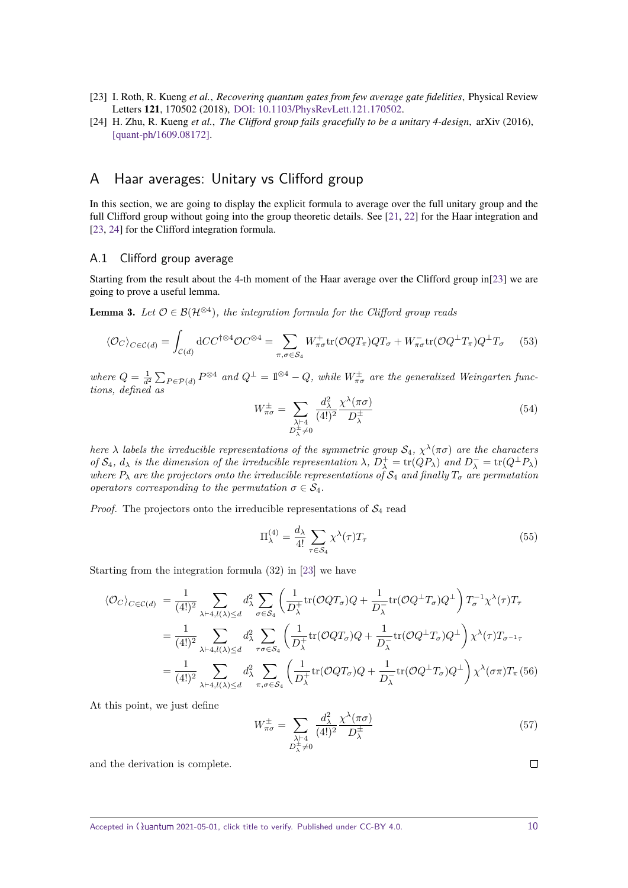- <span id="page-9-1"></span>[23] I. Roth, R. Kueng *et al.*, *Recovering quantum gates from few average gate fidelities*, Physical Review Letters 121, 170502 (2018), [DOI: 10.1103/PhysRevLett.121.170502.](https://doi.org/10.1103/PhysRevLett.121.170502)
- <span id="page-9-2"></span>[24] H. Zhu, R. Kueng *et al.*, *The Clifford group fails gracefully to be a unitary 4-design*, arXiv (2016), [\[quant-ph/1609.08172\].](http://arxiv.org/abs/1609.08172)

# <span id="page-9-5"></span>A Haar averages: Unitary vs Clifford group

In this section, we are going to display the explicit formula to average over the full unitary group and the full Clifford group without going into the group theoretic details. See [\[21,](#page-8-20) [22\]](#page-8-21) for the Haar integration and [\[23,](#page-9-1) [24\]](#page-9-2) for the Clifford integration formula.

### <span id="page-9-0"></span>A.1 Clifford group average

Starting from the result about the 4-th moment of the Haar average over the Clifford group in[\[23\]](#page-9-1) we are going to prove a useful lemma.

**Lemma 3.** Let  $\mathcal{O} \in \mathcal{B}(\mathcal{H}^{\otimes 4})$ , the integration formula for the Clifford group reads

<span id="page-9-4"></span>
$$
\langle \mathcal{O}_C \rangle_{C \in \mathcal{C}(d)} = \int_{\mathcal{C}(d)} \mathrm{d}C C^{\dagger \otimes 4} \mathcal{O} C^{\otimes 4} = \sum_{\pi, \sigma \in \mathcal{S}_4} W_{\pi\sigma}^+ \mathrm{tr}(\mathcal{O}QT_\pi) QT_\sigma + W_{\pi\sigma}^- \mathrm{tr}(\mathcal{O}Q^\perp T_\pi) Q^\perp T_\sigma \tag{53}
$$

*where*  $Q = \frac{1}{d^2} \sum_{P \in \mathcal{P}(d)} P^{\otimes 4}$  *and*  $Q^{\perp} = 1^{\otimes 4} - Q$ *, while*  $W^{\pm}_{\pi\sigma}$  *are the generalized Weingarten functions, defined as*

<span id="page-9-3"></span>
$$
W_{\pi\sigma}^{\pm} = \sum_{\substack{\lambda \vdash 4 \\ D_{\lambda}^{\pm} \neq 0}} \frac{d_{\lambda}^2}{(4!)^2} \frac{\chi^{\lambda}(\pi\sigma)}{D_{\lambda}^{\pm}} \tag{54}
$$

*here*  $\lambda$  *labels the irreducible representations of the symmetric group*  $S_4$ ,  $\chi^{\lambda}(\pi\sigma)$  *are the characters of*  $S_4$ *,*  $d_\lambda$  *is the dimension of the irreducible representation*  $\lambda$ *,*  $D_\lambda^+ = \text{tr}(QP_\lambda)$  *and*  $D_\lambda^- = \text{tr}(Q^\perp P_\lambda)$ *where*  $P_{\lambda}$  *are the projectors onto the irreducible representations of*  $S_4$  *and finally*  $T_{\sigma}$  *are permutation operators corresponding to the permutation*  $\sigma \in \mathcal{S}_4$ .

*Proof.* The projectors onto the irreducible representations of  $S_4$  read

$$
\Pi_{\lambda}^{(4)} = \frac{d_{\lambda}}{4!} \sum_{\tau \in \mathcal{S}_4} \chi^{\lambda}(\tau) T_{\tau}
$$
\n(55)

Starting from the integration formula (32) in [\[23\]](#page-9-1) we have

$$
\langle \mathcal{O}_{C} \rangle_{C \in \mathcal{C}(d)} = \frac{1}{(4!)^{2}} \sum_{\lambda \vdash 4, l(\lambda) \leq d} d_{\lambda}^{2} \sum_{\sigma \in S_{4}} \left( \frac{1}{D_{\lambda}^{+}} \text{tr}(\mathcal{O}QT_{\sigma})Q + \frac{1}{D_{\lambda}^{-}} \text{tr}(\mathcal{O}Q^{\perp}T_{\sigma})Q^{\perp} \right) T_{\sigma}^{-1} \chi^{\lambda}(\tau) T_{\tau}
$$
  
\n
$$
= \frac{1}{(4!)^{2}} \sum_{\lambda \vdash 4, l(\lambda) \leq d} d_{\lambda}^{2} \sum_{\tau \sigma \in S_{4}} \left( \frac{1}{D_{\lambda}^{+}} \text{tr}(\mathcal{O}QT_{\sigma})Q + \frac{1}{D_{\lambda}^{-}} \text{tr}(\mathcal{O}Q^{\perp}T_{\sigma})Q^{\perp} \right) \chi^{\lambda}(\tau) T_{\sigma^{-1}\tau}
$$
  
\n
$$
= \frac{1}{(4!)^{2}} \sum_{\lambda \vdash 4, l(\lambda) \leq d} d_{\lambda}^{2} \sum_{\pi, \sigma \in S_{4}} \left( \frac{1}{D_{\lambda}^{+}} \text{tr}(\mathcal{O}QT_{\sigma})Q + \frac{1}{D_{\lambda}^{-}} \text{tr}(\mathcal{O}Q^{\perp}T_{\sigma})Q^{\perp} \right) \chi^{\lambda}(\sigma \pi) T_{\pi}(56)
$$

At this point, we just define

$$
W_{\pi\sigma}^{\pm} = \sum_{\substack{\lambda \vdash 4 \\ D_{\lambda}^{\pm} \neq 0}} \frac{d_{\lambda}^2}{(4!)^2} \frac{\chi^{\lambda}(\pi\sigma)}{D_{\lambda}^{\pm}} \tag{57}
$$

and the derivation is complete.

Accepted in ( $\lambda$ uantum 2021-05-01, click title to verify. Published under CC-BY 4.0. 10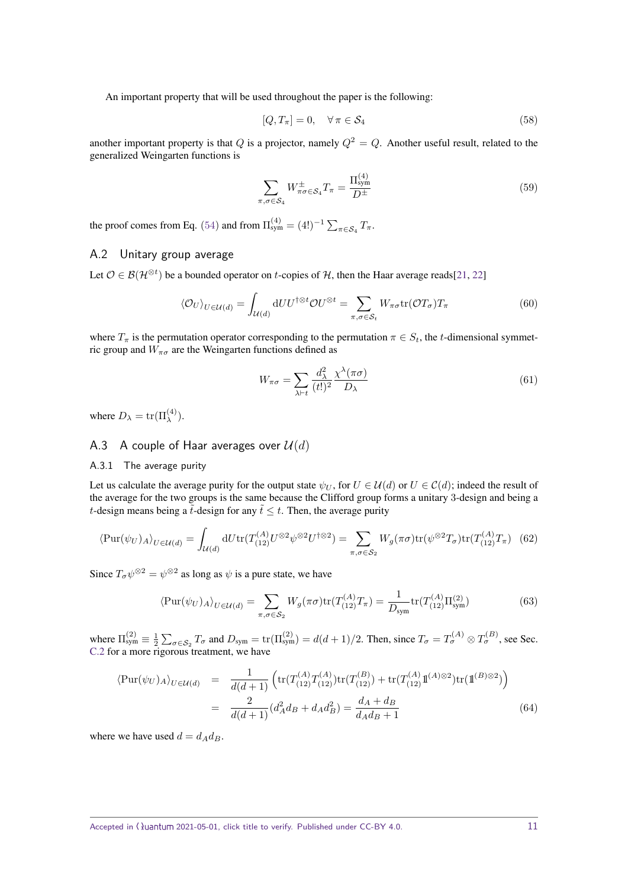An important property that will be used throughout the paper is the following:

$$
[Q, T_{\pi}] = 0, \quad \forall \pi \in \mathcal{S}_4 \tag{58}
$$

another important property is that *Q* is a projector, namely  $Q^2 = Q$ . Another useful result, related to the generalized Weingarten functions is

$$
\sum_{\pi,\sigma\in\mathcal{S}_4} W^{\pm}_{\pi\sigma\in\mathcal{S}_4} T_{\pi} = \frac{\Pi_{\text{sym}}^{(4)}}{D^{\pm}} \tag{59}
$$

the proof comes from Eq. [\(54\)](#page-9-3) and from  $\Pi_{sym}^{(4)} = (4!)^{-1} \sum_{\pi \in S_4} T_{\pi}$ .

### A.2 Unitary group average

Let  $\mathcal{O} \in \mathcal{B}(\mathcal{H}^{\otimes t})$  be a bounded operator on *t*-copies of  $\mathcal{H}$ , then the Haar average reads[\[21,](#page-8-20) [22\]](#page-8-21)

<span id="page-10-1"></span>
$$
\langle \mathcal{O}_U \rangle_{U \in \mathcal{U}(d)} = \int_{\mathcal{U}(d)} \mathrm{d} U U^{\dagger \otimes t} \mathcal{O} U^{\otimes t} = \sum_{\pi, \sigma \in \mathcal{S}_t} W_{\pi \sigma} \mathrm{tr}(\mathcal{O} T_{\sigma}) T_{\pi}
$$
(60)

 $\langle \rangle$ 

where  $T_{\pi}$  is the permutation operator corresponding to the permutation  $\pi \in S_t$ , the *t*-dimensional symmetric group and  $W_{\pi\sigma}$  are the Weingarten functions defined as

<span id="page-10-2"></span>
$$
W_{\pi\sigma} = \sum_{\lambda \vdash t} \frac{d_{\lambda}^{2}}{(t!)^{2}} \frac{\chi^{\lambda}(\pi\sigma)}{D_{\lambda}}
$$
(61)

where  $D_{\lambda} = \text{tr}(\Pi_{\lambda}^{(4)})$ .

### A.3 A couple of Haar averages over  $\mathcal{U}(d)$

#### <span id="page-10-0"></span>A.3.1 The average purity

Let us calculate the average purity for the output state  $\psi_U$ , for  $U \in \mathcal{U}(d)$  or  $U \in \mathcal{C}(d)$ ; indeed the result of the average for the two groups is the same because the Clifford group forms a unitary 3-design and being a *t*-design means being a  $\tilde{t}$ -design for any  $\tilde{t} \leq t$ . Then, the average purity

$$
\langle \mathrm{Pur}(\psi_U)_A \rangle_{U \in \mathcal{U}(d)} = \int_{\mathcal{U}(d)} \mathrm{d}U \mathrm{tr}(T^{(A)}_{(12)} U^{\otimes 2} \psi^{\otimes 2} U^{\dagger \otimes 2}) = \sum_{\pi, \sigma \in \mathcal{S}_2} W_g(\pi \sigma) \mathrm{tr}(\psi^{\otimes 2} T_\sigma) \mathrm{tr}(T^{(A)}_{(12)} T_\pi) \tag{62}
$$

Since  $T_{\sigma}\psi^{\otimes 2} = \psi^{\otimes 2}$  as long as  $\psi$  is a pure state, we have

$$
\langle \text{Pur}(\psi_U)_A \rangle_{U \in \mathcal{U}(d)} = \sum_{\pi, \sigma \in \mathcal{S}_2} W_g(\pi \sigma) \text{tr}(T^{(A)}_{(12)} T_\pi) = \frac{1}{D_{\text{sym}}} \text{tr}(T^{(A)}_{(12)} \Pi^{(2)}_{\text{sym}})
$$
(63)

where  $\Pi_{sym}^{(2)} \equiv \frac{1}{2} \sum_{\sigma \in S_2} T_{\sigma}$  and  $D_{sym} = \text{tr}(\Pi_{sym}^{(2)}) = d(d+1)/2$ . Then, since  $T_{\sigma} = T_{\sigma}^{(A)} \otimes T_{\sigma}^{(B)}$ , see Sec. [C.2](#page-18-0) for a more rigorous treatment, we have

$$
\langle \text{Pur}(\psi_U)_A \rangle_{U \in \mathcal{U}(d)} = \frac{1}{d(d+1)} \left( \text{tr}(T_{(12)}^{(A)} T_{(12)}^{(A)}) \text{tr}(T_{(12)}^{(B)}) + \text{tr}(T_{(12)}^{(A)} \mathbb{1}^{(A) \otimes 2}) \text{tr}(\mathbb{1}^{(B) \otimes 2}) \right)
$$
  

$$
= \frac{2}{d(d+1)} (d_A^2 d_B + d_A d_B^2) = \frac{d_A + d_B}{d_A d_B + 1}
$$
(64)

where we have used  $d = d_A d_B$ .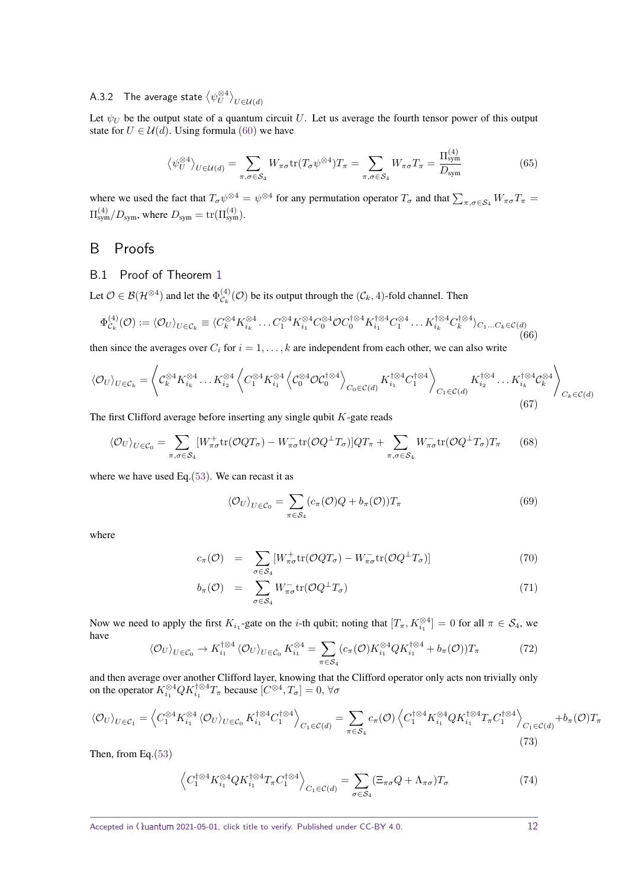# A.3.2 The average state  $\left\langle \psi^{\otimes 4}_U\right\rangle_{U\in\mathcal{U}(d)}$

Let  $\psi_U$  be the output state of a quantum circuit *U*. Let us average the fourth tensor power of this output state for  $U \in \mathcal{U}(d)$ . Using formula [\(60\)](#page-10-1) we have

<span id="page-11-1"></span>
$$
\left\langle \psi_U^{\otimes 4} \right\rangle_{U \in \mathcal{U}(d)} = \sum_{\pi, \sigma \in \mathcal{S}_4} W_{\pi\sigma} \text{tr}(T_\sigma \psi^{\otimes 4}) T_\pi = \sum_{\pi, \sigma \in \mathcal{S}_4} W_{\pi\sigma} T_\pi = \frac{\Pi_{\text{sym}}^{(4)}}{D_{\text{sym}}} \tag{65}
$$

where we used the fact that  $T_{\sigma}\psi^{\otimes 4} = \psi^{\otimes 4}$  for any permutation operator  $T_{\sigma}$  and that  $\sum_{\pi,\sigma\in\mathcal{S}_4}W_{\pi\sigma}T_{\pi} =$  $\Pi_{sym}^{(4)}/D_{sym}$ , where  $D_{sym} = \text{tr}(\Pi_{sym}^{(4)})$ .

# B Proofs

### <span id="page-11-0"></span>B.1 Proof of Theorem [1](#page-2-0)

Let  $\mathcal{O} \in \mathcal{B}(\mathcal{H}^{\otimes 4})$  and let the  $\Phi_{\mathcal{C}_b}^{(4)}$  $\mathcal{C}_{k}^{(4)}(\mathcal{O})$  be its output through the  $(\mathcal{C}_{k}, 4)$ -fold channel. Then

$$
\Phi_{\mathcal{C}_k}^{(4)}(\mathcal{O}) := \langle \mathcal{O}_U \rangle_{U \in \mathcal{C}_k} \equiv \langle C_k^{\otimes 4} K_{i_k}^{\otimes 4} \dots C_1^{\otimes 4} K_{i_1}^{\otimes 4} C_0^{\otimes 4} \mathcal{O} C_0^{\dagger \otimes 4} K_{i_1}^{\dagger \otimes 4} C_1^{\otimes 4} \dots K_{i_k}^{\dagger \otimes 4} C_k^{\dagger \otimes 4} \rangle_{C_1 \dots C_k \in \mathcal{C}(d)} \tag{66}
$$

then since the averages over  $C_i$  for  $i = 1, \ldots, k$  are independent from each other, we can also write

$$
\langle \mathcal{O}_U \rangle_{U \in \mathcal{C}_k} = \left\langle \mathcal{C}_k^{\otimes 4} K_{i_k}^{\otimes 4} \dots K_{i_2}^{\otimes 4} \left\langle C_1^{\otimes 4} K_{i_1}^{\otimes 4} \left\langle \mathcal{C}_0^{\otimes 4} \mathcal{O} \mathcal{C}_0^{\dagger \otimes 4} \right\rangle_{C_0 \in \mathcal{C}(d)} K_{i_1}^{\dagger \otimes 4} C_1^{\dagger \otimes 4} \right\rangle_{C_1 \in \mathcal{C}(d)} K_{i_2}^{\dagger \otimes 4} \dots K_{i_k}^{\dagger \otimes 4} \mathcal{C}_k^{\otimes 4} \right\rangle_{C_k \in \mathcal{C}(d)} \tag{67}
$$

The first Clifford average before inserting any single qubit *K*-gate reads

$$
\langle \mathcal{O}_U \rangle_{U \in \mathcal{C}_0} = \sum_{\pi, \sigma \in \mathcal{S}_4} [W_{\pi\sigma}^+ \text{tr}(\mathcal{O}QT_{\sigma}) - W_{\pi\sigma}^- \text{tr}(\mathcal{O}Q^\perp T_{\sigma})]QT_{\pi} + \sum_{\pi, \sigma \in \mathcal{S}_4} W_{\pi\sigma}^- \text{tr}(\mathcal{O}Q^\perp T_{\sigma})T_{\pi} \qquad (68)
$$

where we have used Eq.[\(53\)](#page-9-4). We can recast it as

$$
\langle \mathcal{O}_U \rangle_{U \in \mathcal{C}_0} = \sum_{\pi \in \mathcal{S}_4} (c_\pi(\mathcal{O})Q + b_\pi(\mathcal{O})) T_\pi \tag{69}
$$

where

$$
c_{\pi}(\mathcal{O}) = \sum_{\sigma \in \mathcal{S}_4} [W_{\pi\sigma}^+ \text{tr}(\mathcal{O}QT_{\sigma}) - W_{\pi\sigma}^- \text{tr}(\mathcal{O}Q^\perp T_{\sigma})] \tag{70}
$$

$$
b_{\pi}(\mathcal{O}) = \sum_{\sigma \in \mathcal{S}_4} W_{\pi\sigma}^{-} \text{tr}(\mathcal{O}Q^{\perp}T_{\sigma})
$$
\n(71)

Now we need to apply the first  $K_{i_1}$ -gate on the *i*-th qubit; noting that  $[T_\pi, K_{i_1}^{\otimes 4}] = 0$  for all  $\pi \in S_4$ , we have

$$
\langle \mathcal{O}_U \rangle_{U \in \mathcal{C}_0} \to K_{i_1}^{\dagger \otimes 4} \langle \mathcal{O}_U \rangle_{U \in \mathcal{C}_0} K_{i_1}^{\otimes 4} = \sum_{\pi \in \mathcal{S}_4} (c_\pi(\mathcal{O}) K_{i_1}^{\otimes 4} Q K_{i_1}^{\dagger \otimes 4} + b_\pi(\mathcal{O})) T_\pi
$$
 (72)

and then average over another Clifford layer, knowing that the Clifford operator only acts non trivially only on the operator  $K_{i_1}^{\otimes 4} Q K_{i_1}^{\dagger \otimes 4} T_{\pi}$  because  $[C^{\otimes 4}, T_{\sigma}] = 0$ ,  $\forall \sigma$ 

$$
\langle \mathcal{O}_U \rangle_{U \in \mathcal{C}_1} = \left\langle C_1^{\otimes 4} K_{i_1}^{\otimes 4} \langle \mathcal{O}_U \rangle_{U \in \mathcal{C}_0} K_{i_1}^{\dagger \otimes 4} C_1^{\dagger \otimes 4} \right\rangle_{C_1 \in \mathcal{C}(d)} = \sum_{\pi \in \mathcal{S}_4} c_{\pi}(\mathcal{O}) \left\langle C_1^{\dagger \otimes 4} K_{i_1}^{\otimes 4} Q K_{i_1}^{\dagger \otimes 4} T_{\pi} C_1^{\dagger \otimes 4} \right\rangle_{C_1 \in \mathcal{C}(d)} + b_{\pi}(\mathcal{O}) T_{\pi}(\mathcal{O})
$$
\n
$$
(73)
$$

Then, from Eq.[\(53\)](#page-9-4)

$$
\left\langle C_1^{\dagger \otimes 4} K_{i_1}^{\otimes 4} Q K_{i_1}^{\dagger \otimes 4} T_{\pi} C_1^{\dagger \otimes 4} \right\rangle_{C_1 \in \mathcal{C}(d)} = \sum_{\sigma \in \mathcal{S}_4} (\Xi_{\pi \sigma} Q + \Lambda_{\pi \sigma}) T_{\sigma}
$$
(74)

Accepted in  $\langle \rangle$ uantum 2021-05-01, click title to verify. Published under CC-BY 4.0. 12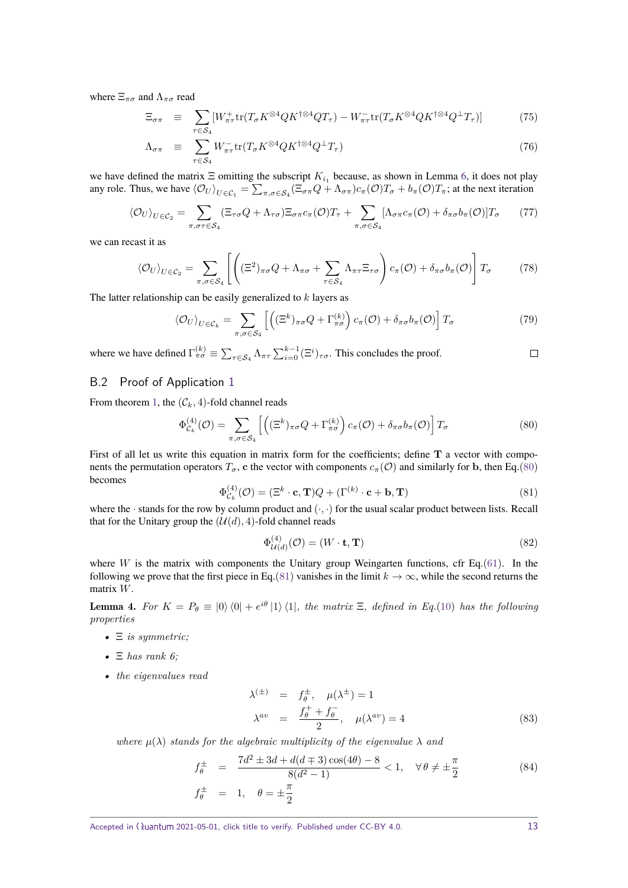where  $\Xi_{\pi\sigma}$  and  $\Lambda_{\pi\sigma}$  read

$$
\Xi_{\sigma\pi} \equiv \sum_{\tau \in S_4} [W_{\pi\tau}^+ \text{tr}(T_{\sigma} K^{\otimes 4} Q K^{\dagger \otimes 4} Q T_{\tau}) - W_{\pi\tau}^- \text{tr}(T_{\sigma} K^{\otimes 4} Q K^{\dagger \otimes 4} Q^{\dagger} T_{\tau})] \tag{75}
$$

$$
\Lambda_{\sigma\pi} \equiv \sum_{\tau \in S_4} W_{\pi\tau}^- \text{tr}(T_{\sigma} K^{\otimes 4} Q K^{\dagger \otimes 4} Q^{\perp} T_{\tau}) \tag{76}
$$

we have defined the matrix  $\Xi$  omitting the subscript  $K_{i_1}$  because, as shown in Lemma [6,](#page-19-1) it does not play any role. Thus, we have  $\langle O_U \rangle_{U \in C_1} = \sum_{\pi, \sigma \in S_4} (\Xi_{\sigma \pi} Q + \Lambda_{\sigma \pi}) c_\pi (O) T_\sigma + b_\pi (O) T_\pi$ ; at the next iteration

$$
\langle \mathcal{O}_U \rangle_{U \in \mathcal{C}_2} = \sum_{\pi, \sigma \tau \in \mathcal{S}_4} (\Xi_{\tau \sigma} Q + \Lambda_{\tau \sigma}) \Xi_{\sigma \pi} c_{\pi}(\mathcal{O}) T_{\tau} + \sum_{\pi, \sigma \in \mathcal{S}_4} [\Lambda_{\sigma \pi} c_{\pi}(\mathcal{O}) + \delta_{\pi \sigma} b_{\pi}(\mathcal{O})] T_{\sigma} \qquad (77)
$$

we can recast it as

$$
\langle \mathcal{O}_U \rangle_{U \in \mathcal{C}_2} = \sum_{\pi, \sigma \in \mathcal{S}_4} \left[ \left( (\Xi^2)_{\pi\sigma} Q + \Lambda_{\pi\sigma} + \sum_{\tau \in \mathcal{S}_4} \Lambda_{\pi\tau} \Xi_{\tau\sigma} \right) c_{\pi}(\mathcal{O}) + \delta_{\pi\sigma} b_{\pi}(\mathcal{O}) \right] T_{\sigma} \tag{78}
$$

The latter relationship can be easily generalized to *k* layers as

$$
\langle \mathcal{O}_U \rangle_{U \in \mathcal{C}_k} = \sum_{\pi, \sigma \in \mathcal{S}_4} \left[ \left( (\Xi^k)_{\pi \sigma} Q + \Gamma^{(k)}_{\pi \sigma} \right) c_{\pi}(\mathcal{O}) + \delta_{\pi \sigma} b_{\pi}(\mathcal{O}) \right] T_{\sigma} \tag{79}
$$

where we have defined  $\Gamma_{\pi\sigma}^{(k)} \equiv \sum_{\tau \in S_4} \Lambda_{\pi\tau} \sum_{i=0}^{k-1} (\Xi^i)_{\tau\sigma}$ . This concludes the proof.

### <span id="page-12-0"></span>B.2 Proof of Application [1](#page-3-1)

From theorem [1,](#page-2-0) the  $(C_k, 4)$ -fold channel reads

<span id="page-12-2"></span>
$$
\Phi_{\mathcal{C}_k}^{(4)}(\mathcal{O}) = \sum_{\pi,\sigma \in \mathcal{S}_4} \left[ \left( (\Xi^k)_{\pi\sigma} Q + \Gamma_{\pi\sigma}^{(k)} \right) c_{\pi}(\mathcal{O}) + \delta_{\pi\sigma} b_{\pi}(\mathcal{O}) \right] T_{\sigma} \tag{80}
$$

First of all let us write this equation in matrix form for the coefficients; define **T** a vector with components the permutation operators  $T_{\sigma}$ , **c** the vector with components  $c_{\pi}(\mathcal{O})$  and similarly for **b**, then Eq.[\(80\)](#page-12-2) becomes

<span id="page-12-3"></span>
$$
\Phi_{\mathcal{C}_k}^{(4)}(\mathcal{O}) = (\Xi^k \cdot \mathbf{c}, \mathbf{T})Q + (\Gamma^{(k)} \cdot \mathbf{c} + \mathbf{b}, \mathbf{T})
$$
\n(81)

where the · stands for the row by column product and  $(\cdot, \cdot)$  for the usual scalar product between lists. Recall that for the Unitary group the  $(U(d), 4)$ -fold channel reads

$$
\Phi_{\mathcal{U}(d)}^{(4)}(\mathcal{O}) = (W \cdot \mathbf{t}, \mathbf{T}) \tag{82}
$$

where *W* is the matrix with components the Unitary group Weingarten functions, cfr Eq.[\(61\)](#page-10-2). In the following we prove that the first piece in Eq.[\(81\)](#page-12-3) vanishes in the limit  $k \to \infty$ , while the second returns the matrix *W*.

**Lemma 4.** For  $K = P_{\theta} \equiv |0\rangle\langle0| + e^{i\theta} |1\rangle\langle1|$ , the matrix  $\Xi$ , defined in Eq.[\(10\)](#page-3-3) has the following *properties*

- *•* Ξ *is symmetric;*
- *•* Ξ *has rank 6;*
- *• the eigenvalues read*

$$
\lambda^{(\pm)} = f_{\theta}^{\pm}, \quad \mu(\lambda^{\pm}) = 1
$$
  

$$
\lambda^{av} = \frac{f_{\theta}^{\pm} + f_{\theta}^{-}}{2}, \quad \mu(\lambda^{av}) = 4
$$
 (83)

*where*  $\mu(\lambda)$  *stands for the algebraic multiplicity of the eigenvalue*  $\lambda$  *and* 

<span id="page-12-1"></span>
$$
f_{\theta}^{\pm} = \frac{7d^2 \pm 3d + d(d \mp 3)\cos(4\theta) - 8}{8(d^2 - 1)} < 1, \quad \forall \theta \neq \pm \frac{\pi}{2}
$$
 (84)  

$$
f_{\theta}^{\pm} = 1, \quad \theta = \pm \frac{\pi}{2}
$$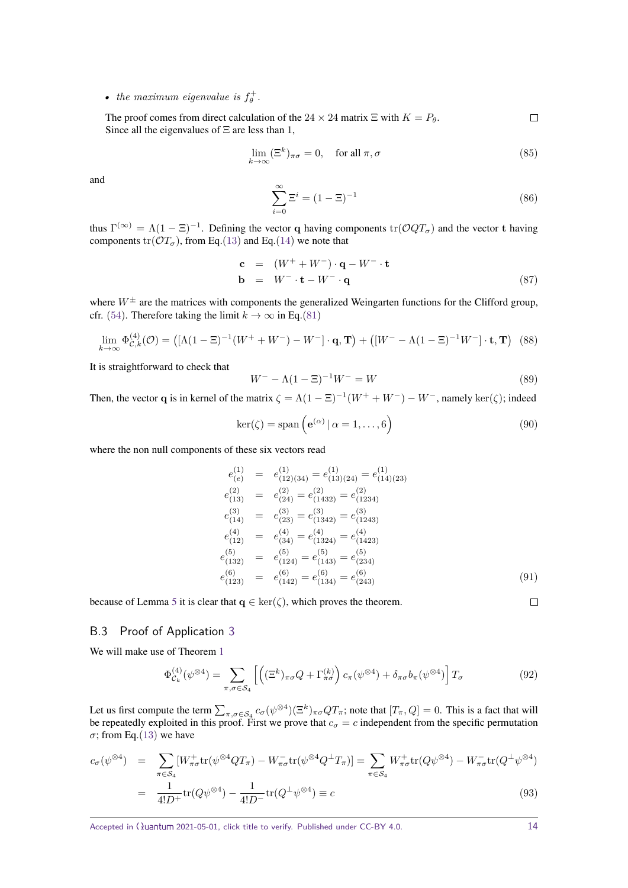• *the maximum eigenvalue is*  $f_{\theta}^+$ .

The proof comes from direct calculation of the 24  $\times$  24 matrix  $\Xi$  with  $K = P_{\theta}$ .  $\Box$ Since all the eigenvalues of  $\Xi$  are less than 1,

$$
\lim_{k \to \infty} (\Xi^k)_{\pi\sigma} = 0, \quad \text{for all } \pi, \sigma \tag{85}
$$

and

$$
\sum_{i=0}^{\infty} \Xi^{i} = (1 - \Xi)^{-1}
$$
 (86)

thus  $\Gamma^{(\infty)} = \Lambda(1 - \Xi)^{-1}$ . Defining the vector **q** having components  $tr(\mathcal{O}QT_{\sigma})$  and the vector **t** having components  $tr(\mathcal{O}T_{\sigma})$ , from Eq.[\(13\)](#page-3-4) and Eq.[\(14\)](#page-3-4) we note that

$$
\mathbf{c} = (W^+ + W^-) \cdot \mathbf{q} - W^- \cdot \mathbf{t}
$$
  
\n
$$
\mathbf{b} = W^- \cdot \mathbf{t} - W^- \cdot \mathbf{q}
$$
 (87)

where  $W^{\pm}$  are the matrices with components the generalized Weingarten functions for the Clifford group, cfr. [\(54\)](#page-9-3). Therefore taking the limit  $k \to \infty$  in Eq.[\(81\)](#page-12-3)

$$
\lim_{k \to \infty} \Phi_{\mathcal{C},k}^{(4)}(\mathcal{O}) = \left( \left[ \Lambda (1 - \Xi)^{-1} (W^+ + W^-) - W^- \right] \cdot \mathbf{q}, \mathbf{T} \right) + \left( \left[ W^- - \Lambda (1 - \Xi)^{-1} W^- \right] \cdot \mathbf{t}, \mathbf{T} \right) \tag{88}
$$

It is straightforward to check that

$$
W^{-} - \Lambda (1 - \Xi)^{-1} W^{-} = W \tag{89}
$$

Then, the vector **q** is in kernel of the matrix  $\zeta = \Lambda(1 - \Xi)^{-1}(W^+ + W^-) - W^-$ , namely ker $(\zeta)$ ; indeed

$$
\ker(\zeta) = \operatorname{span}\left(\mathbf{e}^{(\alpha)} \,|\, \alpha = 1, \ldots, 6\right) \tag{90}
$$

where the non null components of these six vectors read

$$
e_{(e)}^{(1)} = e_{(12)(34)}^{(1)} = e_{(13)(24)}^{(1)} = e_{(14)(23)}^{(1)}
$$
  
\n
$$
e_{(13)}^{(2)} = e_{(24)}^{(2)} = e_{(1432)}^{(2)} = e_{(1234)}^{(2)}
$$
  
\n
$$
e_{(14)}^{(3)} = e_{(23)}^{(3)} = e_{(1342)}^{(3)} = e_{(1243)}^{(3)}
$$
  
\n
$$
e_{(12)}^{(4)} = e_{(34)}^{(4)} = e_{(1324)}^{(4)} = e_{(1423)}^{(4)}
$$
  
\n
$$
e_{(132)}^{(5)} = e_{(124)}^{(5)} = e_{(143)}^{(5)} = e_{(234)}^{(5)}
$$
  
\n
$$
e_{(123)}^{(6)} = e_{(142)}^{(6)} = e_{(134)}^{(6)} = e_{(243)}^{(6)}
$$
  
\n(91)

because of Lemma [5](#page-17-0) it is clear that  $q \in \text{ker}(\zeta)$ , which proves the theorem.

### <span id="page-13-0"></span>B.3 Proof of Application [3](#page-5-2)

We will make use of Theorem [1](#page-2-0)

$$
\Phi_{\mathcal{C}_k}^{(4)}(\psi^{\otimes 4}) = \sum_{\pi,\sigma \in \mathcal{S}_4} \left[ \left( (\Xi^k)_{\pi\sigma} Q + \Gamma_{\pi\sigma}^{(k)} \right) c_{\pi}(\psi^{\otimes 4}) + \delta_{\pi\sigma} b_{\pi}(\psi^{\otimes 4}) \right] T_{\sigma} \tag{92}
$$

Let us first compute the term  $\sum_{\pi,\sigma \in S_4} c_{\sigma}(\psi^{\otimes 4})(\Xi^k)_{\pi\sigma}QT_{\pi}$ ; note that  $[T_{\pi}, Q] = 0$ . This is a fact that will be repeatedly exploited in this proof. First we prove that  $c_{\sigma} = c$  independent from the specific permutation  $\sigma$ ; from Eq.[\(13\)](#page-3-4) we have

$$
c_{\sigma}(\psi^{\otimes 4}) = \sum_{\pi \in S_4} [W_{\pi\sigma}^+ \text{tr}(\psi^{\otimes 4} Q T_{\pi}) - W_{\pi\sigma}^- \text{tr}(\psi^{\otimes 4} Q^{\perp} T_{\pi})] = \sum_{\pi \in S_4} W_{\pi\sigma}^+ \text{tr}(Q \psi^{\otimes 4}) - W_{\pi\sigma}^- \text{tr}(Q^{\perp} \psi^{\otimes 4})
$$
  

$$
= \frac{1}{4! D^+} \text{tr}(Q \psi^{\otimes 4}) - \frac{1}{4! D^-} \text{tr}(Q^{\perp} \psi^{\otimes 4}) \equiv c
$$
(93)

Accepted in ( ) uantum 2021-05-01, click title to verify. Published under CC-BY 4.0. 14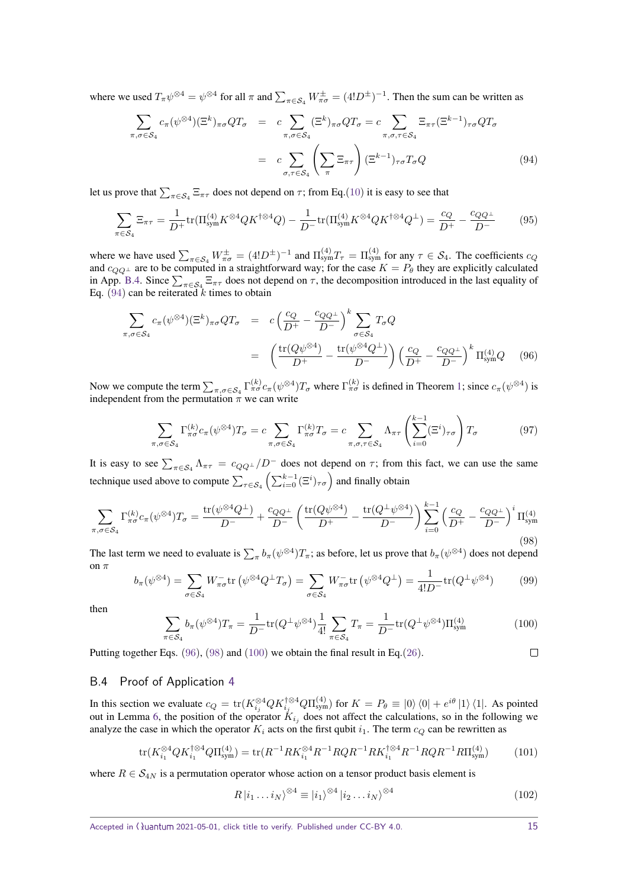where we used  $T_{\pi}\psi^{\otimes 4} = \psi^{\otimes 4}$  for all  $\pi$  and  $\sum_{\pi \in S_4} W^{\pm}_{\pi\sigma} = (4!D^{\pm})^{-1}$ . Then the sum can be written as

<span id="page-14-1"></span>
$$
\sum_{\pi,\sigma\in\mathcal{S}_4} c_{\pi}(\psi^{\otimes 4})(\Xi^k)_{\pi\sigma}QT_{\sigma} = c \sum_{\pi,\sigma\in\mathcal{S}_4} (\Xi^k)_{\pi\sigma}QT_{\sigma} = c \sum_{\pi,\sigma,\tau\in\mathcal{S}_4} \Xi_{\pi\tau}(\Xi^{k-1})_{\tau\sigma}QT_{\sigma}
$$
\n
$$
= c \sum_{\sigma,\tau\in\mathcal{S}_4} \left(\sum_{\pi} \Xi_{\pi\tau}\right) (\Xi^{k-1})_{\tau\sigma} T_{\sigma} Q \tag{94}
$$

let us prove that  $\sum_{\pi \in S_4} \Xi_{\pi\tau}$  does not depend on  $\tau$ ; from Eq.[\(10\)](#page-3-3) it is easy to see that

$$
\sum_{\pi \in S_4} \Xi_{\pi\tau} = \frac{1}{D^+} \text{tr}(\Pi_{\text{sym}}^{(4)} K^{\otimes 4} Q K^{\dagger \otimes 4} Q) - \frac{1}{D^-} \text{tr}(\Pi_{\text{sym}}^{(4)} K^{\otimes 4} Q K^{\dagger \otimes 4} Q^{\perp}) = \frac{c_Q}{D^+} - \frac{c_{QQ^{\perp}}}{D^-} \tag{95}
$$

where we have used  $\sum_{\pi \in S_4} W^{\pm}_{\pi \sigma} = (4!D^{\pm})^{-1}$  and  $\Pi_{sym}^{(4)}T_{\tau} = \Pi_{sym}^{(4)}$  for any  $\tau \in S_4$ . The coefficients  $c_Q$ and  $c_{QQ^{\perp}}$  are to be computed in a straightforward way; for the case  $K = P_{\theta}$  they are explicitly calculated in App. [B.4.](#page-14-0) Since  $\sum_{\pi \in S_4} \Xi_{\pi\tau}$  does not depend on  $\tau$ , the decomposition introduced in the last equality of Eq.  $(94)$  can be reiterated *k* times to obtain

<span id="page-14-2"></span>
$$
\sum_{\pi,\sigma\in\mathcal{S}_4} c_{\pi}(\psi^{\otimes 4})(\Xi^k)_{\pi\sigma}QT_{\sigma} = c\left(\frac{c_Q}{D^+} - \frac{c_{QQ^\perp}}{D^-}\right)^k \sum_{\sigma\in\mathcal{S}_4} T_{\sigma}Q
$$
\n
$$
= \left(\frac{\text{tr}(Q\psi^{\otimes 4})}{D^+} - \frac{\text{tr}(\psi^{\otimes 4}Q^\perp)}{D^-}\right) \left(\frac{c_Q}{D^+} - \frac{c_{QQ^\perp}}{D^-}\right)^k \Pi_{sym}^{(4)}Q \quad (96)
$$

Now we compute the term  $\sum_{\pi, \sigma \in S_4} \Gamma^{(k)}_{\pi \sigma} c_{\pi} (\psi^{\otimes 4}) T_{\sigma}$  where  $\Gamma^{(k)}_{\pi \sigma}$  is defined in Theorem [1;](#page-2-0) since  $c_{\pi} (\psi^{\otimes 4})$  is independent from the permutation  $\pi$  we can write

$$
\sum_{\pi,\sigma\in\mathcal{S}_4} \Gamma^{(k)}_{\pi\sigma} c_{\pi}(\psi^{\otimes 4}) T_{\sigma} = c \sum_{\pi,\sigma\in\mathcal{S}_4} \Gamma^{(k)}_{\pi\sigma} T_{\sigma} = c \sum_{\pi,\sigma,\tau\in\mathcal{S}_4} \Lambda_{\pi\tau} \left( \sum_{i=0}^{k-1} (\Xi^i)_{\tau\sigma} \right) T_{\sigma} \tag{97}
$$

It is easy to see  $\sum_{\pi \in S_4} \Lambda_{\pi\tau} = c_{QQ} \pm \sqrt{D}$  does not depend on  $\tau$ ; from this fact, we can use the same technique used above to compute  $\sum_{\tau \in S_4} \left( \sum_{i=0}^{k-1} (\Xi^i)_{\tau \sigma} \right)$  and finally obtain

<span id="page-14-3"></span>
$$
\sum_{\pi,\sigma \in \mathcal{S}_4} \Gamma^{(k)}_{\pi\sigma} c_{\pi}(\psi^{\otimes 4}) T_{\sigma} = \frac{\text{tr}(\psi^{\otimes 4} Q^{\perp})}{D^{-}} + \frac{c_{QQ^{\perp}}}{D^{-}} \left( \frac{\text{tr}(Q\psi^{\otimes 4})}{D^{+}} - \frac{\text{tr}(Q^{\perp}\psi^{\otimes 4})}{D^{-}} \right) \sum_{i=0}^{k-1} \left( \frac{c_{Q}}{D^{+}} - \frac{c_{QQ^{\perp}}}{D^{-}} \right)^i \Pi^{(4)}_{\text{sym}} \tag{98}
$$

The last term we need to evaluate is  $\sum_{\pi} b_{\pi}(\psi^{\otimes 4})T_{\pi}$ ; as before, let us prove that  $b_{\pi}(\psi^{\otimes 4})$  does not depend on *π*

$$
(\psi^{\otimes 4}) = \sum_{\sigma \in \mathcal{S}_4} W_{\pi\sigma}^- \text{tr}\left(\psi^{\otimes 4} Q^\perp T_\sigma\right) = \sum_{\sigma \in \mathcal{S}_4} W_{\pi\sigma}^- \text{tr}\left(\psi^{\otimes 4} Q^\perp\right) = \frac{1}{4! D^-} \text{tr}(Q^\perp \psi^{\otimes 4}) \tag{99}
$$

then

<span id="page-14-4"></span>
$$
\sum_{\pi \in S_4} b_{\pi}(\psi^{\otimes 4}) T_{\pi} = \frac{1}{D^{-}} \text{tr}(Q^{\perp} \psi^{\otimes 4}) \frac{1}{4!} \sum_{\pi \in S_4} T_{\pi} = \frac{1}{D^{-}} \text{tr}(Q^{\perp} \psi^{\otimes 4}) \Pi_{\text{sym}}^{(4)} \tag{100}
$$

Putting together Eqs.  $(96)$ ,  $(98)$  and  $(100)$  we obtain the final result in Eq.  $(26)$ .

### <span id="page-14-0"></span>B.4 Proof of Application [4](#page-5-5)

 $b_{\pi}$ 

In this section we evaluate  $c_Q = \text{tr}(K_{i_j}^{\otimes 4} Q K_{i_j}^{\dagger \otimes 4} Q \Pi_{sym}^{(4)})$  for  $K = P_\theta \equiv |0\rangle \langle 0| + e^{i\theta} |1\rangle \langle 1|$ . As pointed out in Lemma [6,](#page-19-1) the position of the operator  $K_{i_j}$  does not affect the calculations, so in the following we analyze the case in which the operator  $K_i$  acts on the first qubit  $i_1$ . The term  $c_Q$  can be rewritten as

$$
\text{tr}(K_{i_1}^{\otimes 4} Q K_{i_1}^{\dagger \otimes 4} Q \Pi_{\text{sym}}^{(4)}) = \text{tr}(R^{-1} R K_{i_1}^{\otimes 4} R^{-1} R Q R^{-1} R K_{i_1}^{\dagger \otimes 4} R^{-1} R Q R^{-1} R \Pi_{\text{sym}}^{(4)})
$$
(101)

where  $R \in S_{4N}$  is a permutation operator whose action on a tensor product basis element is

$$
R|i_1 \dots i_N\rangle^{\otimes 4} \equiv |i_1\rangle^{\otimes 4} |i_2 \dots i_N\rangle^{\otimes 4}
$$
\n(102)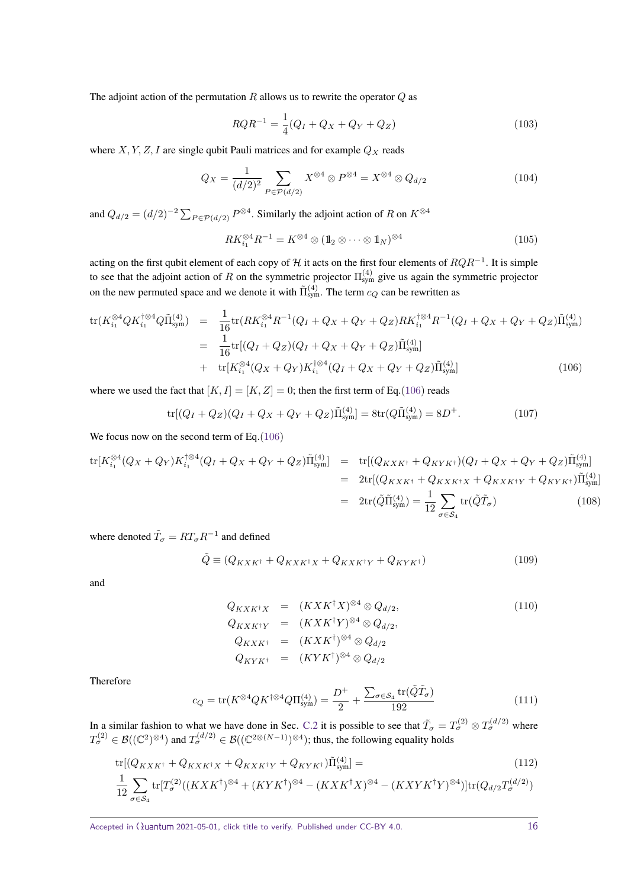The adjoint action of the permutation *R* allows us to rewrite the operator *Q* as

$$
RQR^{-1} = \frac{1}{4}(Q_I + Q_X + Q_Y + Q_Z)
$$
\n(103)

where  $X, Y, Z, I$  are single qubit Pauli matrices and for example  $Q_X$  reads

$$
Q_X = \frac{1}{(d/2)^2} \sum_{P \in \mathcal{P}(d/2)} X^{\otimes 4} \otimes P^{\otimes 4} = X^{\otimes 4} \otimes Q_{d/2}
$$
 (104)

and  $Q_{d/2} = (d/2)^{-2} \sum_{P \in \mathcal{P}(d/2)} P^{\otimes 4}$ . Similarly the adjoint action of *R* on  $K^{\otimes 4}$ 

$$
RK_{i_1}^{\otimes 4}R^{-1} = K^{\otimes 4} \otimes (\mathbb{1}_2 \otimes \cdots \otimes \mathbb{1}_N)^{\otimes 4}
$$
 (105)

acting on the first qubit element of each copy of H it acts on the first four elements of *RQR*−<sup>1</sup> . It is simple to see that the adjoint action of *R* on the symmetric projector  $\Pi_{sym}^{(4)}$  give us again the symmetric projector on the new permuted space and we denote it with  $\tilde{\Pi}_{sym}^{(4)}$ . The term  $c_Q$  can be rewritten as

<span id="page-15-0"></span>
$$
\text{tr}(K_{i_1}^{\otimes 4} Q K_{i_1}^{\dagger \otimes 4} Q \tilde{\Pi}_{\text{sym}}^{(4)}) = \frac{1}{16} \text{tr}(RK_{i_1}^{\otimes 4} R^{-1} (Q_I + Q_X + Q_Y + Q_Z) RK_{i_1}^{\dagger \otimes 4} R^{-1} (Q_I + Q_X + Q_Y + Q_Z) \tilde{\Pi}_{\text{sym}}^{(4)})
$$
  
\n
$$
= \frac{1}{16} \text{tr}[(Q_I + Q_Z)(Q_I + Q_X + Q_Y + Q_Z) \tilde{\Pi}_{\text{sym}}^{(4)}]
$$
  
\n
$$
+ \text{tr}[K_{i_1}^{\otimes 4} (Q_X + Q_Y) K_{i_1}^{\dagger \otimes 4} (Q_I + Q_X + Q_Y + Q_Z) \tilde{\Pi}_{\text{sym}}^{(4)}]
$$
(106)

where we used the fact that  $[K, I] = [K, Z] = 0$ ; then the first term of Eq.[\(106\)](#page-15-0) reads

$$
\text{tr}[(Q_I + Q_Z)(Q_I + Q_X + Q_Y + Q_Z)\tilde{\Pi}_{\text{sym}}^{(4)}] = 8\text{tr}(Q\tilde{\Pi}_{\text{sym}}^{(4)}) = 8D^+.
$$
\n(107)

We focus now on the second term of Eq. [\(106\)](#page-15-0)

$$
\text{tr}[K_{i_1}^{\otimes 4}(Q_X + Q_Y)K_{i_1}^{\dagger\otimes 4}(Q_I + Q_X + Q_Y + Q_Z)\tilde{\Pi}_{\text{sym}}^{(4)}] = \text{tr}[(Q_{KXK^{\dagger}} + Q_{KYK^{\dagger}})(Q_I + Q_X + Q_Y + Q_Z)\tilde{\Pi}_{\text{sym}}^{(4)}]
$$
\n
$$
= 2\text{tr}[Q_{KXK^{\dagger}} + Q_{KXK^{\dagger}X} + Q_{KXK^{\dagger}Y} + Q_{KYK^{\dagger}})\tilde{\Pi}_{\text{sym}}^{(4)}]
$$
\n
$$
= 2\text{tr}(\tilde{Q}\tilde{\Pi}_{\text{sym}}^{(4)}) = \frac{1}{12} \sum_{\sigma \in S_4} \text{tr}(\tilde{Q}\tilde{T}_{\sigma}) \tag{108}
$$

where denoted  $\tilde{T}_{\sigma} = RT_{\sigma}R^{-1}$  and defined

$$
\tilde{Q} \equiv (Q_{KXK^{\dagger}} + Q_{KXK^{\dagger}X} + Q_{KXK^{\dagger}Y} + Q_{KYK^{\dagger}})
$$
\n(109)

and

$$
Q_{KXK^{\dagger}X} = (KXK^{\dagger}X)^{\otimes 4} \otimes Q_{d/2},
$$
  
\n
$$
Q_{KXK^{\dagger}Y} = (KXK^{\dagger}Y)^{\otimes 4} \otimes Q_{d/2},
$$
  
\n
$$
Q_{KXK^{\dagger}} = (KXK^{\dagger})^{\otimes 4} \otimes Q_{d/2}
$$
  
\n
$$
Q_{KYK^{\dagger}} = (KYK^{\dagger})^{\otimes 4} \otimes Q_{d/2}
$$
\n(110)

Therefore

12

 $\sigma \in \mathcal{S}_4$ 

$$
c_Q = \text{tr}(K^{\otimes 4} Q K^{\dagger \otimes 4} Q \Pi_{\text{sym}}^{(4)}) = \frac{D^+}{2} + \frac{\sum_{\sigma \in \mathcal{S}_4} \text{tr}(\tilde{Q} \tilde{T}_{\sigma})}{192} \tag{111}
$$

In a similar fashion to what we have done in Sec. [C.2](#page-18-0) it is possible to see that  $\tilde{T}_{\sigma} = T_{\sigma}^{(2)} \otimes T_{\sigma}^{(d/2)}$  where  $T_{\sigma}^{(2)} \in \mathcal{B}((\mathbb{C}^2)^{\otimes 4})$  and  $T_{\sigma}^{(d/2)} \in \mathcal{B}((\mathbb{C}^{2\otimes (N-1)})^{\otimes 4})$ ; thus, the following equality holds

$$
\text{tr}[(Q_{K X K^{\dagger}} + Q_{K X K^{\dagger} X} + Q_{K X K^{\dagger} Y} + Q_{K Y K^{\dagger}})\tilde{\Pi}_{\text{sym}}^{(4)}] =
$$
\n
$$
\frac{1}{12} \sum_{\mathbf{t}} \text{tr}[T_{\sigma}^{(2)}((K X K^{\dagger})^{\otimes 4} + (K Y K^{\dagger})^{\otimes 4} - (K X K^{\dagger} X)^{\otimes 4} - (K X Y K^{\dagger} Y)^{\otimes 4})] \text{tr}(Q_{d/2} T_{\sigma}^{(d/2)})
$$
\n(112)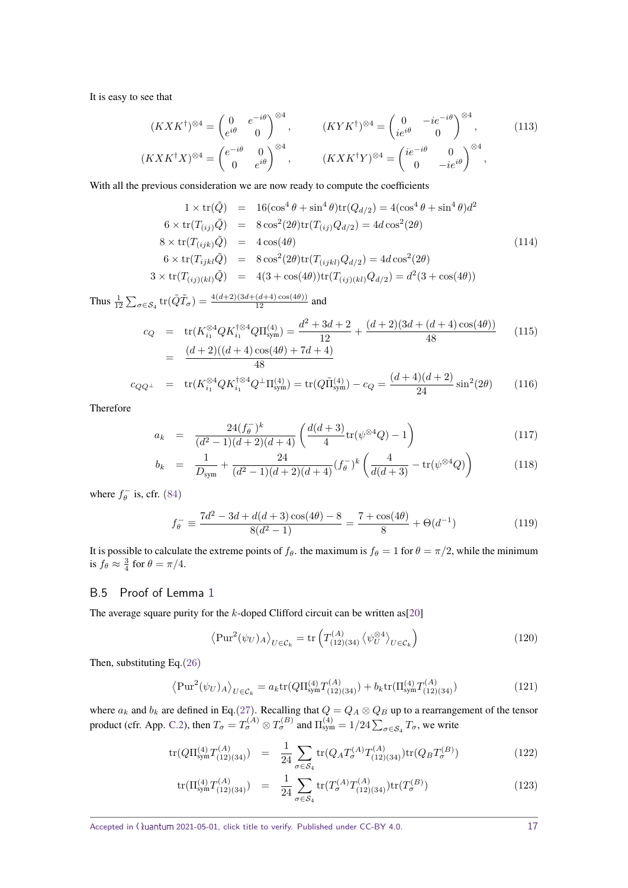It is easy to see that

$$
(K X K^{\dagger})^{\otimes 4} = \begin{pmatrix} 0 & e^{-i\theta} \\ e^{i\theta} & 0 \end{pmatrix}^{\otimes 4}, \qquad (K Y K^{\dagger})^{\otimes 4} = \begin{pmatrix} 0 & -i e^{-i\theta} \\ i e^{i\theta} & 0 \end{pmatrix}^{\otimes 4}, \qquad (113)
$$

$$
(K X K^{\dagger} X)^{\otimes 4} = \begin{pmatrix} e^{-i\theta} & 0 \\ 0 & e^{i\theta} \end{pmatrix}^{\otimes 4}, \qquad (K X K^{\dagger} Y)^{\otimes 4} = \begin{pmatrix} i e^{-i\theta} & 0 \\ 0 & -i e^{i\theta} \end{pmatrix}^{\otimes 4},
$$

With all the previous consideration we are now ready to compute the coefficients

48

$$
1 \times \text{tr}(\tilde{Q}) = 16(\cos^4 \theta + \sin^4 \theta) \text{tr}(Q_{d/2}) = 4(\cos^4 \theta + \sin^4 \theta)d^2
$$
  
\n
$$
6 \times \text{tr}(T_{(ij)}\tilde{Q}) = 8 \cos^2(2\theta)\text{tr}(T_{(ij)}Q_{d/2}) = 4d \cos^2(2\theta)
$$
  
\n
$$
8 \times \text{tr}(T_{(ijk)}\tilde{Q}) = 4 \cos(4\theta)
$$
  
\n
$$
6 \times \text{tr}(T_{ijkl}\tilde{Q}) = 8 \cos^2(2\theta)\text{tr}(T_{(ijkl)}Q_{d/2}) = 4d \cos^2(2\theta)
$$
  
\n
$$
3 \times \text{tr}(T_{(ij)(kl)}\tilde{Q}) = 4(3 + \cos(4\theta))\text{tr}(T_{(ij)(kl)}Q_{d/2}) = d^2(3 + \cos(4\theta))
$$
  
\n(114)

Thus  $\frac{1}{12} \sum_{\sigma \in S_4} tr(\tilde{Q}\tilde{T}_{\sigma}) = \frac{4(d+2)(3d + (d+4)\cos(4\theta))}{12}$  and

$$
c_Q = \text{tr}(K_{i_1}^{\otimes 4} Q K_{i_1}^{\dagger \otimes 4} Q \Pi_{\text{sym}}^{(4)}) = \frac{d^2 + 3d + 2}{12} + \frac{(d+2)(3d + (d+4)\cos(4\theta))}{48}
$$
(115)  
= 
$$
\frac{(d+2)((d+4)\cos(4\theta) + 7d + 4)}{48}
$$

$$
c_{QQ^{\perp}} = \text{tr}(K_{i_1}^{\otimes 4} Q K_{i_1}^{\dagger \otimes 4} Q^{\perp} \Pi_{sym}^{(4)}) = \text{tr}(Q \tilde{\Pi}_{sym}^{(4)}) - c_Q = \frac{(d+4)(d+2)}{24} \sin^2(2\theta) \tag{116}
$$

Therefore

$$
a_k = \frac{24(f_\theta^-)^k}{(d^2 - 1)(d + 2)(d + 4)} \left( \frac{d(d + 3)}{4} \text{tr}(\psi^{\otimes 4} Q) - 1 \right)
$$
(117)

$$
b_k = \frac{1}{D_{sym}} + \frac{24}{(d^2 - 1)(d + 2)(d + 4)} (f_{\theta}^{-})^k \left( \frac{4}{d(d + 3)} - tr(\psi^{\otimes 4} Q) \right)
$$
(118)

where  $f_{\theta}^-$  is, cfr. [\(84\)](#page-12-1)

$$
f_{\theta}^- = \frac{7d^2 - 3d + d(d+3)\cos(4\theta) - 8}{8(d^2 - 1)} = \frac{7 + \cos(4\theta)}{8} + \Theta(d^{-1})
$$
(119)

It is possible to calculate the extreme points of  $f_\theta$ . the maximum is  $f_\theta = 1$  for  $\theta = \pi/2$ , while the minimum is  $f_{\theta} \approx \frac{3}{4}$  for  $\theta = \pi/4$ .

### <span id="page-16-0"></span>B.5 Proof of Lemma [1](#page-6-1)

The average square purity for the *k*-doped Clifford circuit can be written as[\[20\]](#page-8-19)

<span id="page-16-1"></span>
$$
\left\langle \mathrm{Pur}^2(\psi_U)_A \right\rangle_{U \in \mathcal{C}_k} = \mathrm{tr} \left( T^{(A)}_{(12)(34)} \left\langle \psi_U^{\otimes 4} \right\rangle_{U \in \mathcal{C}_k} \right) \tag{120}
$$

Then, substituting Eq.[\(26\)](#page-5-0)

$$
\left\langle \mathrm{Pur}^2(\psi_U)_A \right\rangle_{U \in \mathcal{C}_k} = a_k \mathrm{tr}(Q \Pi_{\mathrm{sym}}^{(4)} T_{(12)(34)}^{(A)}) + b_k \mathrm{tr}(\Pi_{\mathrm{sym}}^{(4)} T_{(12)(34)}^{(A)}) \tag{121}
$$

where  $a_k$  and  $b_k$  are defined in Eq.[\(27\)](#page-5-4). Recalling that  $Q = Q_A \otimes Q_B$  up to a rearrangement of the tensor product (cfr. App. [C.2\)](#page-18-0), then  $T_{\sigma} = T_{\sigma}^{(A)} \otimes T_{\sigma}^{(B)}$  and  $\Pi_{sym}^{(4)} = 1/24 \sum_{\sigma \in S_4} T_{\sigma}$ , we write

$$
\text{tr}(Q\Pi_{\text{sym}}^{(4)}T_{(12)(34)}^{(A)}) = \frac{1}{24} \sum_{\sigma \in \mathcal{S}_4} \text{tr}(Q_A T_{\sigma}^{(A)} T_{(12)(34)}^{(A)}) \text{tr}(Q_B T_{\sigma}^{(B)}) \tag{122}
$$

$$
\text{tr}(\Pi_{\text{sym}}^{(4)} T_{(12)(34)}^{(A)}) = \frac{1}{24} \sum_{\sigma \in \mathcal{S}_4} \text{tr}(T_{\sigma}^{(A)} T_{(12)(34)}^{(A)}) \text{tr}(T_{\sigma}^{(B)}) \tag{123}
$$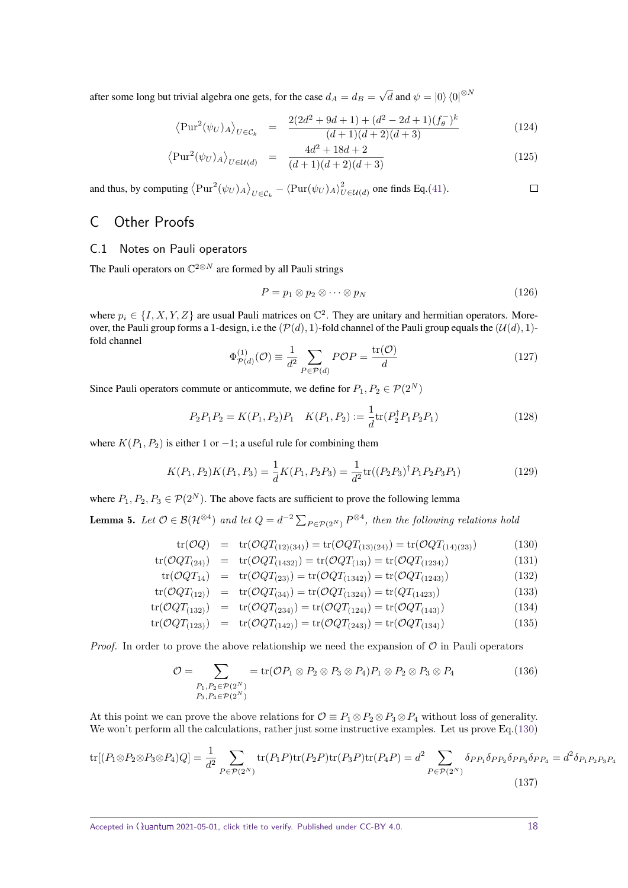after some long but trivial algebra one gets, for the case  $d_A = d_B =$ √  $\overline{d}$  and  $\psi = \ket{0}\bra{0}^{\otimes N}$ 

$$
\left\langle \mathrm{Pur}^2(\psi_U)_A \right\rangle_{U \in \mathcal{C}_k} = \frac{2(2d^2 + 9d + 1) + (d^2 - 2d + 1)(f_\theta^-)^k}{(d+1)(d+2)(d+3)} \tag{124}
$$

$$
\left\langle \text{Pur}^2(\psi_U)_A \right\rangle_{U \in \mathcal{U}(d)} = \frac{4d^2 + 18d + 2}{(d+1)(d+2)(d+3)}
$$
(125)

and thus, by computing  $\langle \text{Pur}^2(\psi_U)_A \rangle_{U \in C_k} - \langle \text{Pur}(\psi_U)_A \rangle_{U \in \mathcal{U}(d)}^2$  one finds Eq.[\(41\)](#page-6-2).

# C Other Proofs

### C.1 Notes on Pauli operators

The Pauli operators on C <sup>2</sup>⊗*<sup>N</sup>* are formed by all Pauli strings

$$
P = p_1 \otimes p_2 \otimes \cdots \otimes p_N \tag{126}
$$

where  $p_i \in \{I, X, Y, Z\}$  are usual Pauli matrices on  $\mathbb{C}^2$ . They are unitary and hermitian operators. Moreover, the Pauli group forms a 1-design, i.e the  $(\mathcal{P}(d), 1)$ -fold channel of the Pauli group equals the  $(\mathcal{U}(d), 1)$ fold channel

$$
\Phi_{\mathcal{P}(d)}^{(1)}(\mathcal{O}) \equiv \frac{1}{d^2} \sum_{P \in \mathcal{P}(d)} P \mathcal{O} P = \frac{\text{tr}(\mathcal{O})}{d} \tag{127}
$$

Since Pauli operators commute or anticommute, we define for  $P_1, P_2 \in \mathcal{P}(2^N)$ 

$$
P_2 P_1 P_2 = K(P_1, P_2) P_1 \quad K(P_1, P_2) := \frac{1}{d} \text{tr}(P_2^{\dagger} P_1 P_2 P_1) \tag{128}
$$

where  $K(P_1, P_2)$  is either 1 or  $-1$ ; a useful rule for combining them

$$
K(P_1, P_2)K(P_1, P_3) = \frac{1}{d}K(P_1, P_2P_3) = \frac{1}{d^2}\text{tr}((P_2P_3)^{\dagger}P_1P_2P_3P_1)
$$
\n(129)

where  $P_1, P_2, P_3 \in \mathcal{P}(2^N)$ . The above facts are sufficient to prove the following lemma

<span id="page-17-0"></span>**Lemma 5.** Let  $\mathcal{O} \in \mathcal{B}(\mathcal{H}^{\otimes 4})$  and let  $Q = d^{-2} \sum_{P \in \mathcal{P}(2^N)} P^{\otimes 4}$ , then the following relations hold

<span id="page-17-1"></span>
$$
tr(\mathcal{O}Q) = tr(\mathcal{O}QT_{(12)(34)}) = tr(\mathcal{O}QT_{(13)(24)}) = tr(\mathcal{O}QT_{(14)(23)})
$$
(130)

$$
tr(\mathcal{O}QT_{(24)}) = tr(\mathcal{O}QT_{(1432)}) = tr(\mathcal{O}QT_{(13)}) = tr(\mathcal{O}QT_{(1234)})
$$
\n(131)

$$
tr(\mathcal{O}QT_{14}) = tr(\mathcal{O}QT_{(23)}) = tr(\mathcal{O}QT_{(1342)}) = tr(\mathcal{O}QT_{(1243)})
$$
\n(132)

$$
tr(\mathcal{O}QT_{(12)}) = tr(\mathcal{O}QT_{(34)}) = tr(\mathcal{O}QT_{(1324)}) = tr(QT_{(1423)})
$$
\n(133)

$$
tr(\mathcal{O}QT_{(132)}) = tr(\mathcal{O}QT_{(234)}) = tr(\mathcal{O}QT_{(124)}) = tr(\mathcal{O}QT_{(143)})
$$
\n(134)

$$
tr(\mathcal{O}QT_{(123)}) = tr(\mathcal{O}QT_{(142)}) = tr(\mathcal{O}QT_{(243)}) = tr(\mathcal{O}QT_{(134)})
$$
\n(135)

*Proof.* In order to prove the above relationship we need the expansion of  $O$  in Pauli operators

$$
\mathcal{O} = \sum_{\substack{P_1, P_2 \in \mathcal{P}(2^N) \\ P_3, P_4 \in \mathcal{P}(2^N)}} = \text{tr}(\mathcal{O}P_1 \otimes P_2 \otimes P_3 \otimes P_4) P_1 \otimes P_2 \otimes P_3 \otimes P_4 \tag{136}
$$

At this point we can prove the above relations for  $\mathcal{O} \equiv P_1 \otimes P_2 \otimes P_3 \otimes P_4$  without loss of generality. We won't perform all the calculations, rather just some instructive examples. Let us prove Eq.[\(130\)](#page-17-1)

$$
\text{tr}[(P_1 \otimes P_2 \otimes P_3 \otimes P_4)Q] = \frac{1}{d^2} \sum_{P \in \mathcal{P}(2^N)} \text{tr}(P_1 P) \text{tr}(P_2 P) \text{tr}(P_3 P) \text{tr}(P_4 P) = d^2 \sum_{P \in \mathcal{P}(2^N)} \delta_{PP_1} \delta_{PP_2} \delta_{PP_3} \delta_{PP_4} = d^2 \delta_{P_1 P_2 P_3 P_4}
$$
\n(137)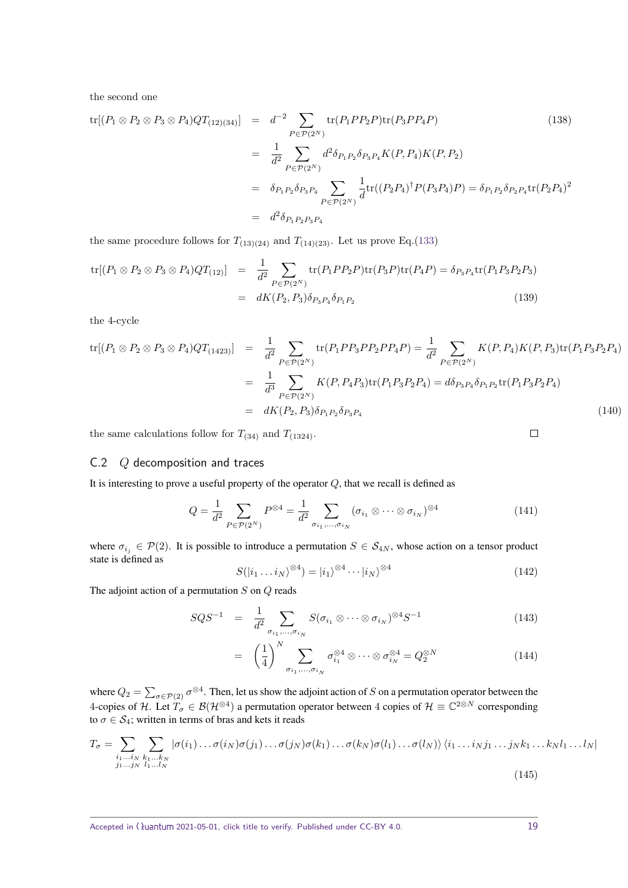the second one

$$
\text{tr}[(P_1 \otimes P_2 \otimes P_3 \otimes P_4)QT_{(12)(34)}] = d^{-2} \sum_{P \in \mathcal{P}(2^N)} \text{tr}(P_1 P P_2 P) \text{tr}(P_3 P P_4 P) \tag{138}
$$
\n
$$
= \frac{1}{d^2} \sum_{P \in \mathcal{P}(2^N)} d^2 \delta_{P_1 P_2} \delta_{P_3 P_4} K(P, P_4) K(P, P_2)
$$
\n
$$
= \delta_{P_1 P_2} \delta_{P_3 P_4} \sum_{P \in \mathcal{P}(2^N)} \frac{1}{d} \text{tr}((P_2 P_4)^{\dagger} P(P_3 P_4) P) = \delta_{P_1 P_2} \delta_{P_2 P_4} \text{tr}(P_2 P_4)^2
$$
\n
$$
= d^2 \delta_{P_1 P_2 P_3 P_4} \tag{138}
$$

the same procedure follows for  $T_{(13)(24)}$  and  $T_{(14)(23)}$ . Let us prove Eq.[\(133\)](#page-17-1)

$$
tr[(P_1 \otimes P_2 \otimes P_3 \otimes P_4)QT_{(12)}] = \frac{1}{d^2} \sum_{P \in \mathcal{P}(2^N)} tr(P_1 P P_2 P) tr(P_3 P) tr(P_4 P) = \delta_{P_3 P_4} tr(P_1 P_3 P_2 P_3)
$$
  
=  $dK(P_2, P_3) \delta_{P_3 P_4} \delta_{P_1 P_2}$  (139)

the 4-cycle

$$
\text{tr}[(P_1 \otimes P_2 \otimes P_3 \otimes P_4)QT_{(1423)}] = \frac{1}{d^2} \sum_{P \in \mathcal{P}(2^N)} \text{tr}(P_1 P P_3 P P_2 P P_4 P) = \frac{1}{d^2} \sum_{P \in \mathcal{P}(2^N)} K(P, P_4)K(P, P_3) \text{tr}(P_1 P_3 P_2 P_4)
$$

$$
= \frac{1}{d^3} \sum_{P \in \mathcal{P}(2^N)} K(P, P_4 P_3) \text{tr}(P_1 P_3 P_2 P_4) = d\delta_{P_3 P_4} \delta_{P_1 P_2} \text{tr}(P_1 P_3 P_2 P_4)
$$

$$
= dK(P_2, P_3) \delta_{P_1 P_2} \delta_{P_3 P_4}
$$
(140)

the same calculations follow for  $T_{(34)}$  and  $T_{(1324)}$ .

### <span id="page-18-0"></span>C.2 *Q* decomposition and traces

It is interesting to prove a useful property of the operator *Q*, that we recall is defined as

$$
Q = \frac{1}{d^2} \sum_{P \in \mathcal{P}(2^N)} P^{\otimes 4} = \frac{1}{d^2} \sum_{\sigma_{i_1}, \dots, \sigma_{i_N}} (\sigma_{i_1} \otimes \dots \otimes \sigma_{i_N})^{\otimes 4}
$$
(141)

where  $\sigma_{i_j} \in \mathcal{P}(2)$ . It is possible to introduce a permutation  $S \in \mathcal{S}_{4N}$ , whose action on a tensor product state is defined as

<span id="page-18-1"></span>
$$
S(|i_1 \dots i_N|^{\otimes 4}) = |i_1\rangle^{\otimes 4} \cdots |i_N\rangle^{\otimes 4} \tag{142}
$$

The adjoint action of a permutation *S* on *Q* reads

<span id="page-18-2"></span>
$$
SQS^{-1} = \frac{1}{d^2} \sum_{\sigma_{i_1}, \dots, \sigma_{i_N}} S(\sigma_{i_1} \otimes \dots \otimes \sigma_{i_N})^{\otimes 4} S^{-1}
$$
 (143)

$$
= \left(\frac{1}{4}\right)^N \sum_{\sigma_{i_1}, \dots, \sigma_{i_N}} \sigma_{i_1}^{\otimes 4} \otimes \dots \otimes \sigma_{i_N}^{\otimes 4} = Q_2^{\otimes N} \tag{144}
$$

where  $Q_2 = \sum_{\sigma \in \mathcal{P}(2)} \sigma^{\otimes 4}$ . Then, let us show the adjoint action of *S* on a permutation operator between the 4-copies of H. Let  $T_{\sigma} \in \mathcal{B}(\mathcal{H}^{\otimes 4})$  a permutation operator between 4 copies of  $\mathcal{H} \equiv \mathbb{C}^{2 \otimes N}$  corresponding to  $\sigma \in S_4$ ; written in terms of bras and kets it reads

$$
T_{\sigma} = \sum_{\substack{i_1 \dots i_N \\ j_1 \dots j_N \ i_1 \dots l_N}} \sum_{k_1 \dots k_N} |\sigma(i_1) \dots \sigma(i_N) \sigma(j_1) \dots \sigma(j_N) \sigma(k_1) \dots \sigma(k_N) \sigma(l_1) \dots \sigma(l_N) \rangle \langle i_1 \dots i_N j_1 \dots j_N k_1 \dots k_N l_1 \dots l_N |\sigma(j_1) \dots \sigma(j_N) \sigma(k_1) \dots \sigma(k_N) \sigma(l_1) \dots \sigma(l_N) \rangle \langle i_1 \dots i_N j_1 \dots j_N k_1 \dots k_N l_1 \dots l_N |\sigma(j_1) \dots \sigma(j_N) \sigma(k_1) \dots \sigma(k_N) \sigma(l_1) \dots \sigma(l_N) \rangle \langle i_1 \dots i_N j_1 \dots j_N k_1 \dots k_N l_1 \dots l_N |\sigma(j_1) \dots \sigma(j_N) \sigma(k_1) \dots \sigma(k_N) \sigma(l_1) \dots \sigma(l_N) \rangle \langle i_1 \dots i_N j_1 \dots j_N k_1 \dots k_N l_1 \dots l_N |\sigma(j_1) \dots \sigma(j_N) \sigma(k_1) \dots \sigma(k_N) \sigma(l_N) \rangle \langle i_1 \dots i_N j_1 \dots j_N k_1 \dots k_N l_1 \dots l_N |\sigma(j_1) \dots \sigma(j_N) \sigma(k_1) \dots \sigma(k_N) \rangle \langle i_1 \dots i_N j_1 \dots j_N k_1 \dots k_N l_1 \dots l_N \rangle \langle i_1 \dots i_N j_1 \dots j_N k_1 \dots k_N l_N \dots k_N l_N \dots k_N l_N \dots k_N l_N \dots k_N l_N \dots k_N l_N \dots k_N l_N \dots k_N l_N \dots k_N l_N \dots k_N l_N \dots k_N l_N \dots k_N l_N \dots k_N l_N \dots k_N l_N \dots k_N l_N \dots k_N l_N \dots k_N l_N \dots k_N l_N \dots k_N l_N \dots k_N l_N \dots k_N l_N \dots k_N l_N \dots k_N l_N \dots k_N l_N \dots k_N l_N \dots k_N l_N \dots k_N l_N \dots k_N l_N \dots k_N l_N \dots k_N l_N \dots k_N l_N \dots k_N l_N \dots k_N l_N \dots k_N l_N \dots k_N l_N \dots k_N l_N \dots k_N l_N \dots k_N l_N \dots k_N l_N \dots k_N l_N \dots k_N l_N \dots k_N l_N \dots k_N l_N \dots k_N l_N \dots k_N l_N \dots k
$$